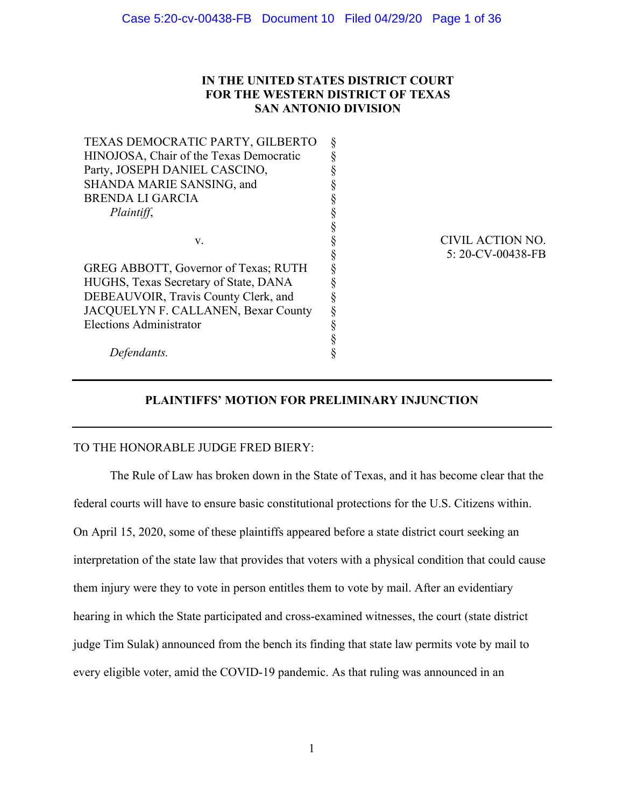# **IN THE UNITED STATES DISTRICT COURT FOR THE WESTERN DISTRICT OF TEXAS SAN ANTONIO DIVISION**

| TEXAS DEMOCRATIC PARTY, GILBERTO        |                   |
|-----------------------------------------|-------------------|
| HINOJOSA, Chair of the Texas Democratic |                   |
| Party, JOSEPH DANIEL CASCINO,           |                   |
| SHANDA MARIE SANSING, and               |                   |
| <b>BRENDA LI GARCIA</b>                 |                   |
| Plaintiff,                              |                   |
|                                         |                   |
| V.                                      | CIVIL ACTION NO.  |
|                                         | 5: 20-CV-00438-FB |
| GREG ABBOTT, Governor of Texas; RUTH    |                   |
| HUGHS, Texas Secretary of State, DANA   |                   |
| DEBEAUVOIR, Travis County Clerk, and    |                   |
| JACQUELYN F. CALLANEN, Bexar County     |                   |
| <b>Elections Administrator</b>          |                   |
|                                         |                   |
| Detendants.                             |                   |
|                                         |                   |

# **PLAINTIFFS' MOTION FOR PRELIMINARY INJUNCTION**

## TO THE HONORABLE JUDGE FRED BIERY:

The Rule of Law has broken down in the State of Texas, and it has become clear that the federal courts will have to ensure basic constitutional protections for the U.S. Citizens within. On April 15, 2020, some of these plaintiffs appeared before a state district court seeking an interpretation of the state law that provides that voters with a physical condition that could cause them injury were they to vote in person entitles them to vote by mail. After an evidentiary hearing in which the State participated and cross-examined witnesses, the court (state district judge Tim Sulak) announced from the bench its finding that state law permits vote by mail to every eligible voter, amid the COVID-19 pandemic. As that ruling was announced in an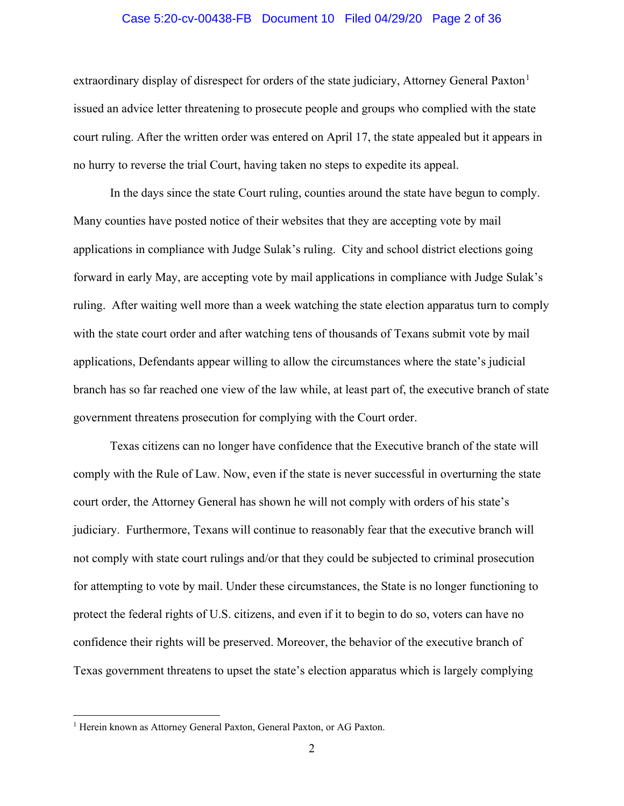#### Case 5:20-cv-00438-FB Document 10 Filed 04/29/20 Page 2 of 36

extraordinary display of disrespect for orders of the state judiciary, Attorney General Paxton<sup>[1](#page-1-0)</sup> issued an advice letter threatening to prosecute people and groups who complied with the state court ruling. After the written order was entered on April 17, the state appealed but it appears in no hurry to reverse the trial Court, having taken no steps to expedite its appeal.

In the days since the state Court ruling, counties around the state have begun to comply. Many counties have posted notice of their websites that they are accepting vote by mail applications in compliance with Judge Sulak's ruling. City and school district elections going forward in early May, are accepting vote by mail applications in compliance with Judge Sulak's ruling. After waiting well more than a week watching the state election apparatus turn to comply with the state court order and after watching tens of thousands of Texans submit vote by mail applications, Defendants appear willing to allow the circumstances where the state's judicial branch has so far reached one view of the law while, at least part of, the executive branch of state government threatens prosecution for complying with the Court order.

Texas citizens can no longer have confidence that the Executive branch of the state will comply with the Rule of Law. Now, even if the state is never successful in overturning the state court order, the Attorney General has shown he will not comply with orders of his state's judiciary. Furthermore, Texans will continue to reasonably fear that the executive branch will not comply with state court rulings and/or that they could be subjected to criminal prosecution for attempting to vote by mail. Under these circumstances, the State is no longer functioning to protect the federal rights of U.S. citizens, and even if it to begin to do so, voters can have no confidence their rights will be preserved. Moreover, the behavior of the executive branch of Texas government threatens to upset the state's election apparatus which is largely complying

<span id="page-1-0"></span><sup>&</sup>lt;sup>1</sup> Herein known as Attorney General Paxton, General Paxton, or AG Paxton.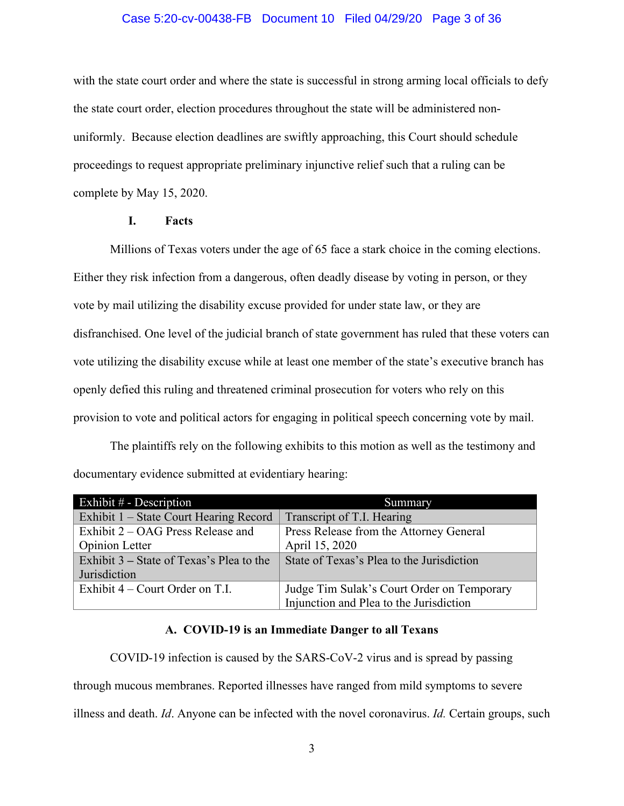## Case 5:20-cv-00438-FB Document 10 Filed 04/29/20 Page 3 of 36

with the state court order and where the state is successful in strong arming local officials to defy the state court order, election procedures throughout the state will be administered nonuniformly. Because election deadlines are swiftly approaching, this Court should schedule proceedings to request appropriate preliminary injunctive relief such that a ruling can be complete by May 15, 2020.

#### **I. Facts**

Millions of Texas voters under the age of 65 face a stark choice in the coming elections. Either they risk infection from a dangerous, often deadly disease by voting in person, or they vote by mail utilizing the disability excuse provided for under state law, or they are disfranchised. One level of the judicial branch of state government has ruled that these voters can vote utilizing the disability excuse while at least one member of the state's executive branch has openly defied this ruling and threatened criminal prosecution for voters who rely on this provision to vote and political actors for engaging in political speech concerning vote by mail.

The plaintiffs rely on the following exhibits to this motion as well as the testimony and documentary evidence submitted at evidentiary hearing:

| Exhibit $#$ - Description                     | Summary                                    |
|-----------------------------------------------|--------------------------------------------|
| <b>Exhibit 1 – State Court Hearing Record</b> | Transcript of T.I. Hearing                 |
| Exhibit 2 – OAG Press Release and             | Press Release from the Attorney General    |
| <b>Opinion Letter</b>                         | April 15, 2020                             |
| Exhibit 3 – State of Texas's Plea to the      | State of Texas's Plea to the Jurisdiction  |
| Jurisdiction                                  |                                            |
| Exhibit $4$ – Court Order on T.I.             | Judge Tim Sulak's Court Order on Temporary |
|                                               | Injunction and Plea to the Jurisdiction    |

#### **A. COVID-19 is an Immediate Danger to all Texans**

COVID-19 infection is caused by the SARS-CoV-2 virus and is spread by passing through mucous membranes. Reported illnesses have ranged from mild symptoms to severe illness and death. *Id*. Anyone can be infected with the novel coronavirus. *Id.* Certain groups, such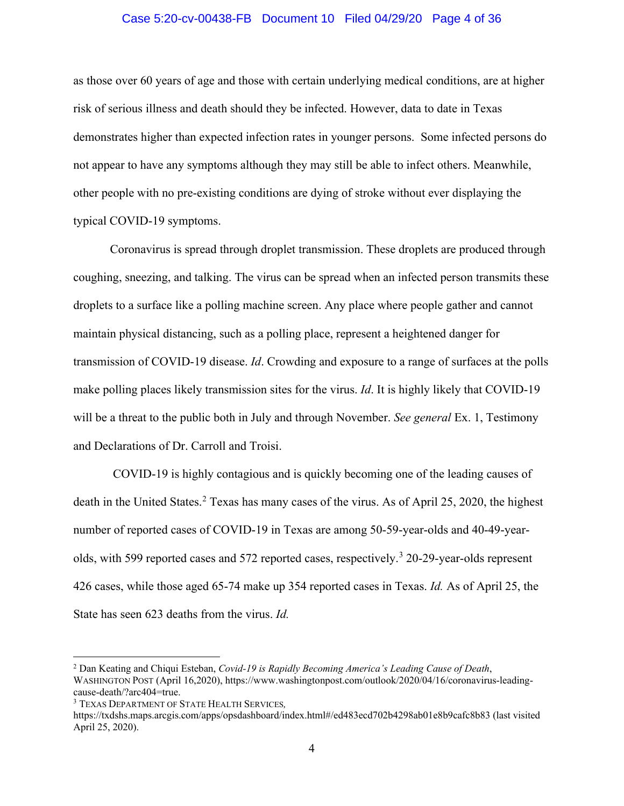## Case 5:20-cv-00438-FB Document 10 Filed 04/29/20 Page 4 of 36

as those over 60 years of age and those with certain underlying medical conditions, are at higher risk of serious illness and death should they be infected. However, data to date in Texas demonstrates higher than expected infection rates in younger persons. Some infected persons do not appear to have any symptoms although they may still be able to infect others. Meanwhile, other people with no pre-existing conditions are dying of stroke without ever displaying the typical COVID-19 symptoms.

Coronavirus is spread through droplet transmission. These droplets are produced through coughing, sneezing, and talking. The virus can be spread when an infected person transmits these droplets to a surface like a polling machine screen. Any place where people gather and cannot maintain physical distancing, such as a polling place, represent a heightened danger for transmission of COVID-19 disease. *Id*. Crowding and exposure to a range of surfaces at the polls make polling places likely transmission sites for the virus. *Id*. It is highly likely that COVID-19 will be a threat to the public both in July and through November. *See general* Ex. 1, Testimony and Declarations of Dr. Carroll and Troisi.

COVID-19 is highly contagious and is quickly becoming one of the leading causes of death in the United States.<sup>[2](#page-3-0)</sup> Texas has many cases of the virus. As of April 25, 2020, the highest number of reported cases of COVID-19 in Texas are among 50-59-year-olds and 40-49-year-olds, with 599 reported cases and 572 reported cases, respectively.<sup>[3](#page-3-1)</sup> 20-29-year-olds represent 426 cases, while those aged 65-74 make up 354 reported cases in Texas. *Id.* As of April 25, the State has seen 623 deaths from the virus. *Id.*

<span id="page-3-0"></span><sup>2</sup> Dan Keating and Chiqui Esteban, *Covid-19 is Rapidly Becoming America's Leading Cause of Death*, WASHINGTON POST (April 16,2020), [https://www.washingtonpost.com/outlook/2020/04/16/coronavirus-leading](https://www.washingtonpost.com/outlook/2020/04/16/coronavirus-leading-cause-death/?arc404=true)[cause-death/?arc404=true.](https://www.washingtonpost.com/outlook/2020/04/16/coronavirus-leading-cause-death/?arc404=true) 3 TEXAS DEPARTMENT OF STATE HEALTH SERVICES*,*

<span id="page-3-1"></span>

<https://txdshs.maps.arcgis.com/apps/opsdashboard/index.html#/ed483ecd702b4298ab01e8b9cafc8b83> (last visited April 25, 2020).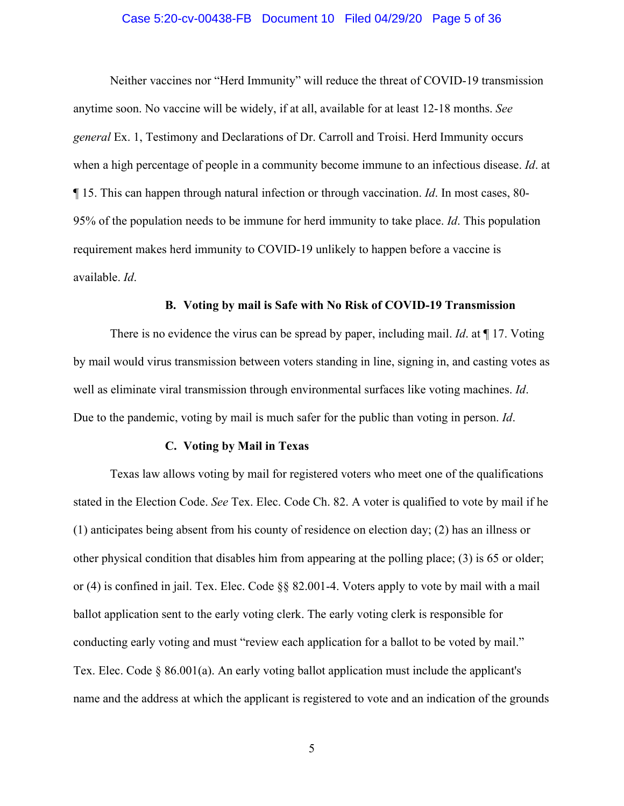### Case 5:20-cv-00438-FB Document 10 Filed 04/29/20 Page 5 of 36

Neither vaccines nor "Herd Immunity" will reduce the threat of COVID-19 transmission anytime soon. No vaccine will be widely, if at all, available for at least 12-18 months. *See general* Ex. 1, Testimony and Declarations of Dr. Carroll and Troisi. Herd Immunity occurs when a high percentage of people in a community become immune to an infectious disease. *Id*. at ¶ 15. This can happen through natural infection or through vaccination. *Id*. In most cases, 80- 95% of the population needs to be immune for herd immunity to take place. *Id*. This population requirement makes herd immunity to COVID-19 unlikely to happen before a vaccine is available. *Id*.

### **B. Voting by mail is Safe with No Risk of COVID-19 Transmission**

There is no evidence the virus can be spread by paper, including mail. *Id*. at ¶ 17. Voting by mail would virus transmission between voters standing in line, signing in, and casting votes as well as eliminate viral transmission through environmental surfaces like voting machines. *Id*. Due to the pandemic, voting by mail is much safer for the public than voting in person. *Id*.

#### **C. Voting by Mail in Texas**

Texas law allows voting by mail for registered voters who meet one of the qualifications stated in the Election Code. *See* Tex. Elec. Code Ch. 82. A voter is qualified to vote by mail if he (1) anticipates being absent from his county of residence on election day; (2) has an illness or other physical condition that disables him from appearing at the polling place; (3) is 65 or older; or (4) is confined in jail. Tex. Elec. Code §§ 82.001-4. Voters apply to vote by mail with a mail ballot application sent to the early voting clerk. The early voting clerk is responsible for conducting early voting and must "review each application for a ballot to be voted by mail." Tex. Elec. Code  $\S$  86.001(a). An early voting ballot application must include the applicant's name and the address at which the applicant is registered to vote and an indication of the grounds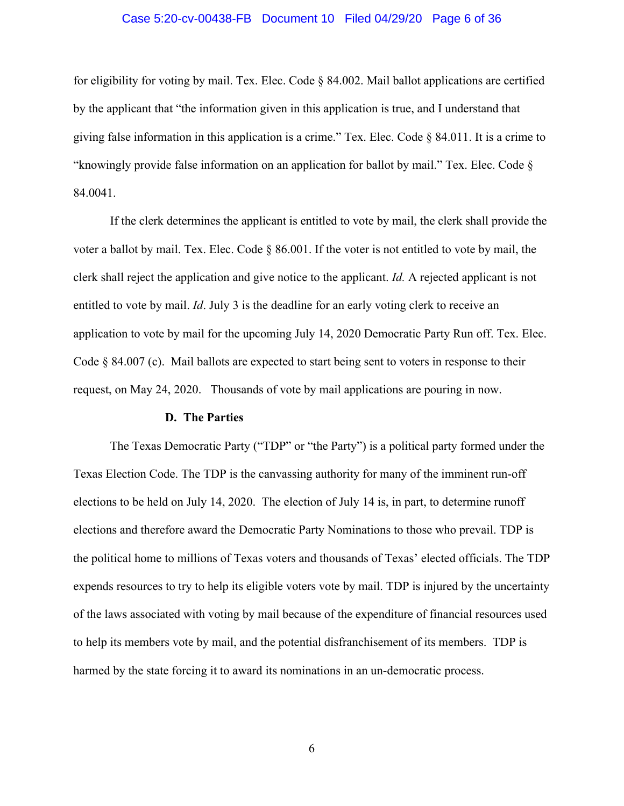## Case 5:20-cv-00438-FB Document 10 Filed 04/29/20 Page 6 of 36

for eligibility for voting by mail. Tex. Elec. Code § 84.002. Mail ballot applications are certified by the applicant that "the information given in this application is true, and I understand that giving false information in this application is a crime." Tex. Elec. Code  $\S$  84.011. It is a crime to "knowingly provide false information on an application for ballot by mail." Tex. Elec. Code § 84.0041.

If the clerk determines the applicant is entitled to vote by mail, the clerk shall provide the voter a ballot by mail. Tex. Elec. Code § 86.001. If the voter is not entitled to vote by mail, the clerk shall reject the application and give notice to the applicant. *Id.* A rejected applicant is not entitled to vote by mail. *Id*. July 3 is the deadline for an early voting clerk to receive an application to vote by mail for the upcoming July 14, 2020 Democratic Party Run off. Tex. Elec. Code  $\S$  84.007 (c). Mail ballots are expected to start being sent to voters in response to their request, on May 24, 2020. Thousands of vote by mail applications are pouring in now.

#### **D. The Parties**

The Texas Democratic Party ("TDP" or "the Party") is a political party formed under the Texas Election Code. The TDP is the canvassing authority for many of the imminent run-off elections to be held on July 14, 2020. The election of July 14 is, in part, to determine runoff elections and therefore award the Democratic Party Nominations to those who prevail. TDP is the political home to millions of Texas voters and thousands of Texas' elected officials. The TDP expends resources to try to help its eligible voters vote by mail. TDP is injured by the uncertainty of the laws associated with voting by mail because of the expenditure of financial resources used to help its members vote by mail, and the potential disfranchisement of its members. TDP is harmed by the state forcing it to award its nominations in an un-democratic process.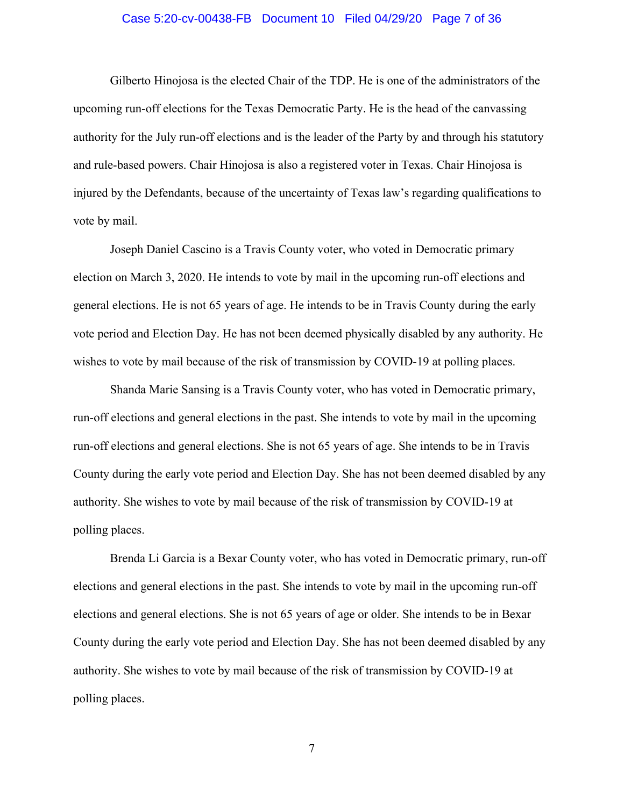## Case 5:20-cv-00438-FB Document 10 Filed 04/29/20 Page 7 of 36

Gilberto Hinojosa is the elected Chair of the TDP. He is one of the administrators of the upcoming run-off elections for the Texas Democratic Party. He is the head of the canvassing authority for the July run-off elections and is the leader of the Party by and through his statutory and rule-based powers. Chair Hinojosa is also a registered voter in Texas. Chair Hinojosa is injured by the Defendants, because of the uncertainty of Texas law's regarding qualifications to vote by mail.

Joseph Daniel Cascino is a Travis County voter, who voted in Democratic primary election on March 3, 2020. He intends to vote by mail in the upcoming run-off elections and general elections. He is not 65 years of age. He intends to be in Travis County during the early vote period and Election Day. He has not been deemed physically disabled by any authority. He wishes to vote by mail because of the risk of transmission by COVID-19 at polling places.

Shanda Marie Sansing is a Travis County voter, who has voted in Democratic primary, run-off elections and general elections in the past. She intends to vote by mail in the upcoming run-off elections and general elections. She is not 65 years of age. She intends to be in Travis County during the early vote period and Election Day. She has not been deemed disabled by any authority. She wishes to vote by mail because of the risk of transmission by COVID-19 at polling places.

Brenda Li Garcia is a Bexar County voter, who has voted in Democratic primary, run-off elections and general elections in the past. She intends to vote by mail in the upcoming run-off elections and general elections. She is not 65 years of age or older. She intends to be in Bexar County during the early vote period and Election Day. She has not been deemed disabled by any authority. She wishes to vote by mail because of the risk of transmission by COVID-19 at polling places.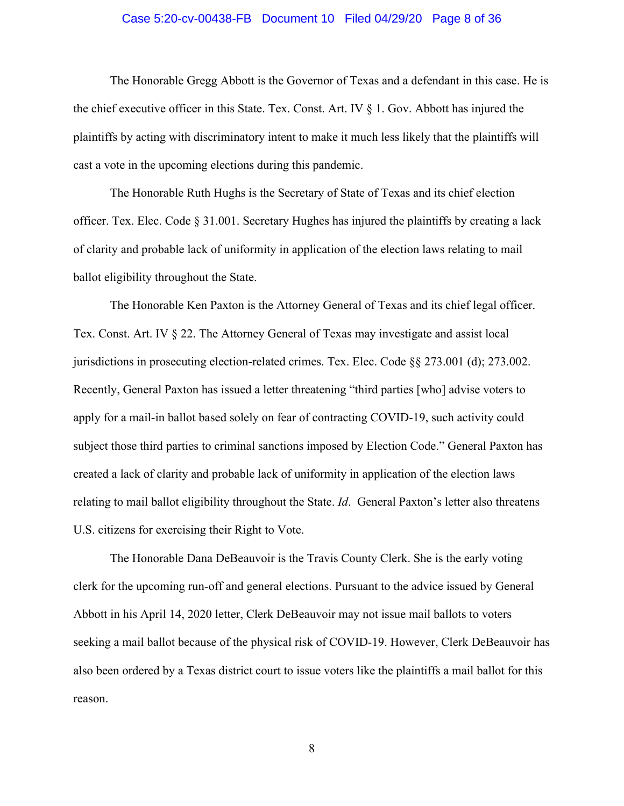## Case 5:20-cv-00438-FB Document 10 Filed 04/29/20 Page 8 of 36

The Honorable Gregg Abbott is the Governor of Texas and a defendant in this case. He is the chief executive officer in this State. Tex. Const. Art. IV § 1. Gov. Abbott has injured the plaintiffs by acting with discriminatory intent to make it much less likely that the plaintiffs will cast a vote in the upcoming elections during this pandemic.

The Honorable Ruth Hughs is the Secretary of State of Texas and its chief election officer. Tex. Elec. Code § 31.001. Secretary Hughes has injured the plaintiffs by creating a lack of clarity and probable lack of uniformity in application of the election laws relating to mail ballot eligibility throughout the State.

The Honorable Ken Paxton is the Attorney General of Texas and its chief legal officer. Tex. Const. Art. IV § 22. The Attorney General of Texas may investigate and assist local jurisdictions in prosecuting election-related crimes. Tex. Elec. Code §§ 273.001 (d); 273.002. Recently, General Paxton has issued a letter threatening "third parties [who] advise voters to apply for a mail-in ballot based solely on fear of contracting COVID-19, such activity could subject those third parties to criminal sanctions imposed by Election Code." General Paxton has created a lack of clarity and probable lack of uniformity in application of the election laws relating to mail ballot eligibility throughout the State. *Id*. General Paxton's letter also threatens U.S. citizens for exercising their Right to Vote.

The Honorable Dana DeBeauvoir is the Travis County Clerk. She is the early voting clerk for the upcoming run-off and general elections. Pursuant to the advice issued by General Abbott in his April 14, 2020 letter, Clerk DeBeauvoir may not issue mail ballots to voters seeking a mail ballot because of the physical risk of COVID-19. However, Clerk DeBeauvoir has also been ordered by a Texas district court to issue voters like the plaintiffs a mail ballot for this reason.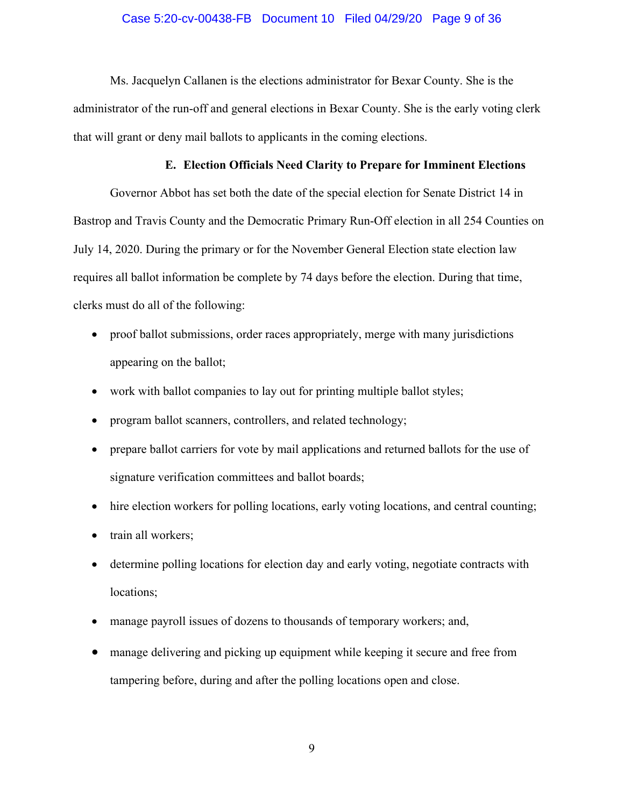## Case 5:20-cv-00438-FB Document 10 Filed 04/29/20 Page 9 of 36

Ms. Jacquelyn Callanen is the elections administrator for Bexar County. She is the administrator of the run-off and general elections in Bexar County. She is the early voting clerk that will grant or deny mail ballots to applicants in the coming elections.

## **E. Election Officials Need Clarity to Prepare for Imminent Elections**

Governor Abbot has set both the date of the special election for Senate District 14 in Bastrop and Travis County and the Democratic Primary Run-Off election in all 254 Counties on July 14, 2020. During the primary or for the November General Election state election law requires all ballot information be complete by 74 days before the election. During that time, clerks must do all of the following:

- proof ballot submissions, order races appropriately, merge with many jurisdictions appearing on the ballot;
- work with ballot companies to lay out for printing multiple ballot styles;
- program ballot scanners, controllers, and related technology;
- prepare ballot carriers for vote by mail applications and returned ballots for the use of signature verification committees and ballot boards;
- hire election workers for polling locations, early voting locations, and central counting;
- train all workers;
- determine polling locations for election day and early voting, negotiate contracts with locations;
- manage payroll issues of dozens to thousands of temporary workers; and,
- manage delivering and picking up equipment while keeping it secure and free from tampering before, during and after the polling locations open and close.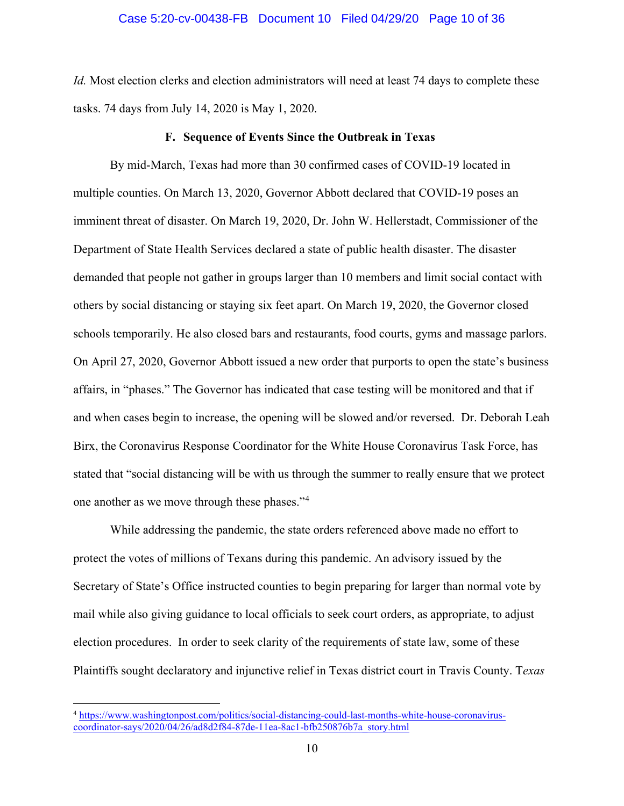#### Case 5:20-cv-00438-FB Document 10 Filed 04/29/20 Page 10 of 36

*Id.* Most election clerks and election administrators will need at least 74 days to complete these tasks. 74 days from July 14, 2020 is May 1, 2020.

#### **F. Sequence of Events Since the Outbreak in Texas**

By mid-March, Texas had more than 30 confirmed cases of COVID-19 located in multiple counties. On March 13, 2020, Governor Abbott declared that COVID-19 poses an imminent threat of disaster. On March 19, 2020, Dr. John W. Hellerstadt, Commissioner of the Department of State Health Services declared a state of public health disaster. The disaster demanded that people not gather in groups larger than 10 members and limit social contact with others by social distancing or staying six feet apart. On March 19, 2020, the Governor closed schools temporarily. He also closed bars and restaurants, food courts, gyms and massage parlors. On April 27, 2020, Governor Abbott issued a new order that purports to open the state's business affairs, in "phases." The Governor has indicated that case testing will be monitored and that if and when cases begin to increase, the opening will be slowed and/or reversed. Dr. Deborah Leah Birx, the Coronavirus Response Coordinator for the White House Coronavirus Task Force, has stated that "social distancing will be with us through the summer to really ensure that we protect one another as we move through these phases."[4](#page-9-0)

While addressing the pandemic, the state orders referenced above made no effort to protect the votes of millions of Texans during this pandemic. An advisory issued by the Secretary of State's Office instructed counties to begin preparing for larger than normal vote by mail while also giving guidance to local officials to seek court orders, as appropriate, to adjust election procedures. In order to seek clarity of the requirements of state law, some of these Plaintiffs sought declaratory and injunctive relief in Texas district court in Travis County. T*exas* 

<span id="page-9-0"></span><sup>4</sup> [https://www.washingtonpost.com/politics/social-distancing-could-last-months-white-house-coronavirus](https://www.washingtonpost.com/politics/social-distancing-could-last-months-white-house-coronavirus-coordinator-says/2020/04/26/ad8d2f84-87de-11ea-8ac1-bfb250876b7a_story.html)[coordinator-says/2020/04/26/ad8d2f84-87de-11ea-8ac1-bfb250876b7a\\_story.html](https://www.washingtonpost.com/politics/social-distancing-could-last-months-white-house-coronavirus-coordinator-says/2020/04/26/ad8d2f84-87de-11ea-8ac1-bfb250876b7a_story.html)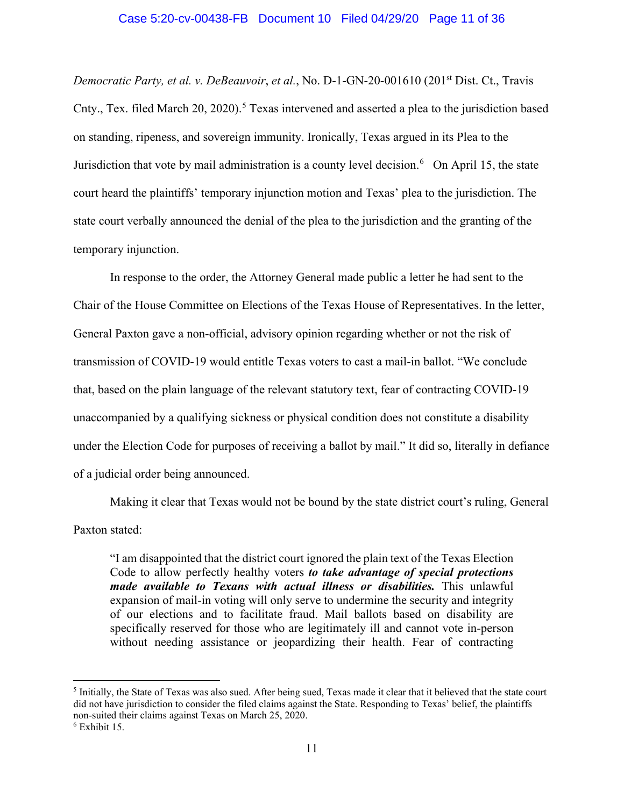### Case 5:20-cv-00438-FB Document 10 Filed 04/29/20 Page 11 of 36

*Democratic Party, et al. v. DeBeauvoir, et al., No. D-1-GN-20-001610 (201<sup>st</sup> Dist. Ct., Travis* Cnty., Tex. filed March 20, 2020).<sup>[5](#page-10-0)</sup> Texas intervened and asserted a plea to the jurisdiction based on standing, ripeness, and sovereign immunity. Ironically, Texas argued in its Plea to the Jurisdiction that vote by mail administration is a county level decision.<sup>[6](#page-10-1)</sup> On April 15, the state court heard the plaintiffs' temporary injunction motion and Texas' plea to the jurisdiction. The state court verbally announced the denial of the plea to the jurisdiction and the granting of the temporary injunction.

In response to the order, the Attorney General made public a letter he had sent to the Chair of the House Committee on Elections of the Texas House of Representatives. In the letter, General Paxton gave a non-official, advisory opinion regarding whether or not the risk of transmission of COVID-19 would entitle Texas voters to cast a mail-in ballot. "We conclude that, based on the plain language of the relevant statutory text, fear of contracting COVID-19 unaccompanied by a qualifying sickness or physical condition does not constitute a disability under the Election Code for purposes of receiving a ballot by mail." It did so, literally in defiance of a judicial order being announced.

Making it clear that Texas would not be bound by the state district court's ruling, General Paxton stated:

"I am disappointed that the district court ignored the plain text of the Texas Election Code to allow perfectly healthy voters *to take advantage of special protections made available to Texans with actual illness or disabilities.* This unlawful expansion of mail-in voting will only serve to undermine the security and integrity of our elections and to facilitate fraud. Mail ballots based on disability are specifically reserved for those who are legitimately ill and cannot vote in-person without needing assistance or jeopardizing their health. Fear of contracting

<span id="page-10-0"></span><sup>5</sup> Initially, the State of Texas was also sued. After being sued, Texas made it clear that it believed that the state court did not have jurisdiction to consider the filed claims against the State. Responding to Texas' belief, the plaintiffs non-suited their claims against Texas on March 25, 2020. 6 Exhibit 15.

<span id="page-10-1"></span>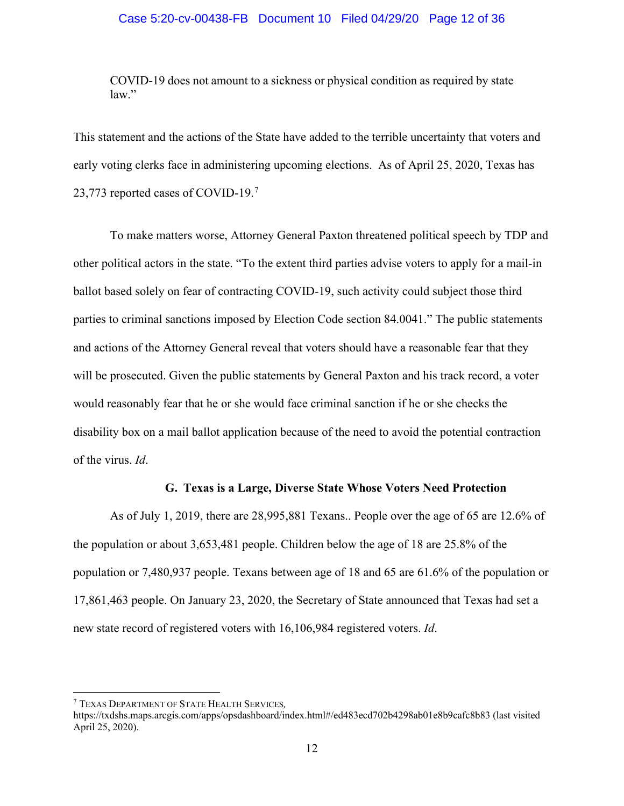## Case 5:20-cv-00438-FB Document 10 Filed 04/29/20 Page 12 of 36

COVID-19 does not amount to a sickness or physical condition as required by state law."

This statement and the actions of the State have added to the terrible uncertainty that voters and early voting clerks face in administering upcoming elections. As of April 25, 2020, Texas has 23,[7](#page-11-0)73 reported cases of COVID-19.<sup>7</sup>

To make matters worse, Attorney General Paxton threatened political speech by TDP and other political actors in the state. "To the extent third parties advise voters to apply for a mail-in ballot based solely on fear of contracting COVID-19, such activity could subject those third parties to criminal sanctions imposed by Election Code section 84.0041." The public statements and actions of the Attorney General reveal that voters should have a reasonable fear that they will be prosecuted. Given the public statements by General Paxton and his track record, a voter would reasonably fear that he or she would face criminal sanction if he or she checks the disability box on a mail ballot application because of the need to avoid the potential contraction of the virus. *Id*.

### **G. Texas is a Large, Diverse State Whose Voters Need Protection**

As of July 1, 2019, there are 28,995,881 Texans.. People over the age of 65 are 12.6% of the population or about 3,653,481 people. Children below the age of 18 are 25.8% of the population or 7,480,937 people. Texans between age of 18 and 65 are 61.6% of the population or 17,861,463 people. On January 23, 2020, the Secretary of State announced that Texas had set a new state record of registered voters with 16,106,984 registered voters. *Id*.

<span id="page-11-0"></span><sup>7</sup> TEXAS DEPARTMENT OF STATE HEALTH SERVICES*,*

<https://txdshs.maps.arcgis.com/apps/opsdashboard/index.html#/ed483ecd702b4298ab01e8b9cafc8b83> (last visited April 25, 2020).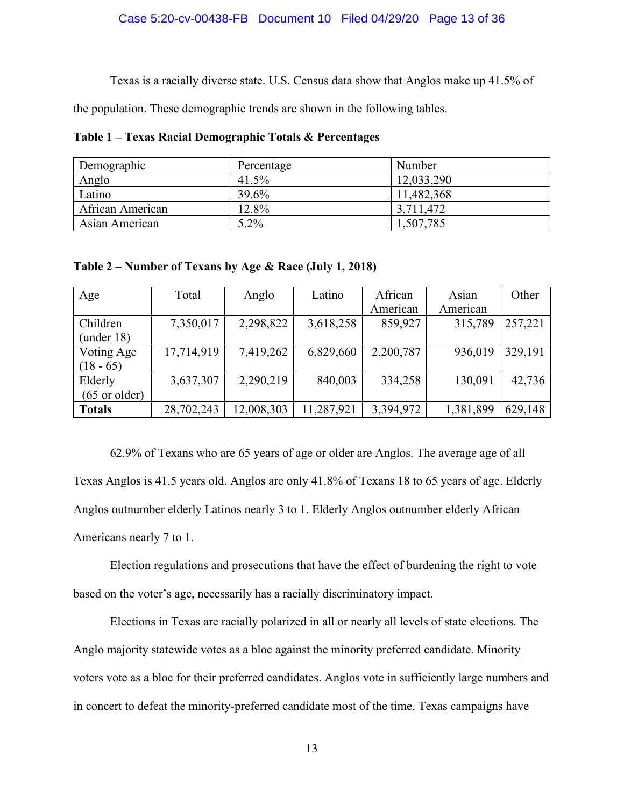#### Case 5:20-cv-00438-FB Document 10 Filed 04/29/20 Page 13 of 36

Texas is a racially diverse state. U.S. Census data show that Anglos make up 41.5% of

the population. These demographic trends are shown in the following tables.

**Table 1 – Texas Racial Demographic Totals & Percentages** 

| Demographic      | Percentage | Number     |
|------------------|------------|------------|
| Anglo            | 41.5%      | 12,033,290 |
| Latino           | 39.6%      | 11,482,368 |
| African American | 12.8%      | 3,711,472  |
| Asian American   | $5.2\%$    | 1,507,785  |

**Table 2 – Number of Texans by Age & Race (July 1, 2018)**

| Age                     | Total      | Anglo      | Latino     | African   | Asian     | Other   |
|-------------------------|------------|------------|------------|-----------|-----------|---------|
|                         |            |            |            | American  | American  |         |
| Children                | 7,350,017  | 2,298,822  | 3,618,258  | 859,927   | 315,789   | 257,221 |
| (under 18)              |            |            |            |           |           |         |
| Voting Age              | 17,714,919 | 7,419,262  | 6,829,660  | 2,200,787 | 936,019   | 329,191 |
| $(18 - 65)$             |            |            |            |           |           |         |
| Elderly                 | 3,637,307  | 2,290,219  | 840,003    | 334,258   | 130,091   | 42,736  |
| $(65 \text{ or older})$ |            |            |            |           |           |         |
| <b>Totals</b>           | 28,702,243 | 12,008,303 | 11,287,921 | 3,394,972 | 1,381,899 | 629,148 |

62.9% of Texans who are 65 years of age or older are Anglos. The average age of all Texas Anglos is 41.5 years old. Anglos are only 41.8% of Texans 18 to 65 years of age. Elderly Anglos outnumber elderly Latinos nearly 3 to 1. Elderly Anglos outnumber elderly African Americans nearly 7 to 1.

Election regulations and prosecutions that have the effect of burdening the right to vote based on the voter's age, necessarily has a racially discriminatory impact.

Elections in Texas are racially polarized in all or nearly all levels of state elections. The Anglo majority statewide votes as a bloc against the minority preferred candidate. Minority voters vote as a bloc for their preferred candidates. Anglos vote in sufficiently large numbers and in concert to defeat the minority-preferred candidate most of the time. Texas campaigns have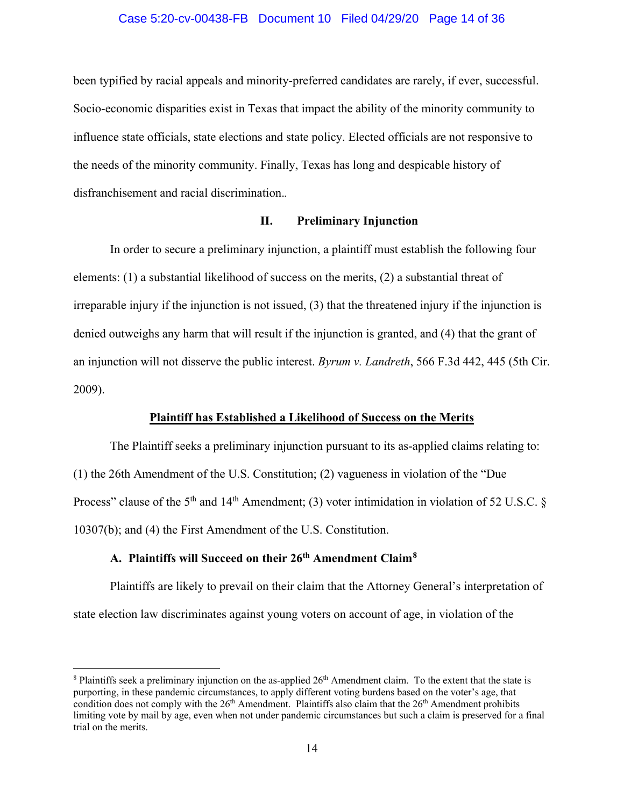#### Case 5:20-cv-00438-FB Document 10 Filed 04/29/20 Page 14 of 36

been typified by racial appeals and minority-preferred candidates are rarely, if ever, successful. Socio-economic disparities exist in Texas that impact the ability of the minority community to influence state officials, state elections and state policy. Elected officials are not responsive to the needs of the minority community. Finally, Texas has long and despicable history of disfranchisement and racial discrimination.*.*

## **II. Preliminary Injunction**

In order to secure a preliminary injunction, a plaintiff must establish the following four elements: (1) a substantial likelihood of success on the merits, (2) a substantial threat of irreparable injury if the injunction is not issued, (3) that the threatened injury if the injunction is denied outweighs any harm that will result if the injunction is granted, and (4) that the grant of an injunction will not disserve the public interest. *Byrum v. Landreth*, 566 F.3d 442, 445 (5th Cir. 2009).

## **Plaintiff has Established a Likelihood of Success on the Merits**

The Plaintiff seeks a preliminary injunction pursuant to its as-applied claims relating to: (1) the 26th Amendment of the U.S. Constitution; (2) vagueness in violation of the "Due Process" clause of the  $5<sup>th</sup>$  and  $14<sup>th</sup>$  Amendment; (3) voter intimidation in violation of 52 U.S.C. § 10307(b); and (4) the First Amendment of the U.S. Constitution.

## **A. Plaintiffs will Succeed on their 26th Amendment Claim[8](#page-13-0)**

Plaintiffs are likely to prevail on their claim that the Attorney General's interpretation of state election law discriminates against young voters on account of age, in violation of the

<span id="page-13-0"></span> $8$  Plaintiffs seek a preliminary injunction on the as-applied  $26<sup>th</sup>$  Amendment claim. To the extent that the state is purporting, in these pandemic circumstances, to apply different voting burdens based on the voter's age, that condition does not comply with the  $26<sup>th</sup>$  Amendment. Plaintiffs also claim that the  $26<sup>th</sup>$  Amendment prohibits limiting vote by mail by age, even when not under pandemic circumstances but such a claim is preserved for a final trial on the merits.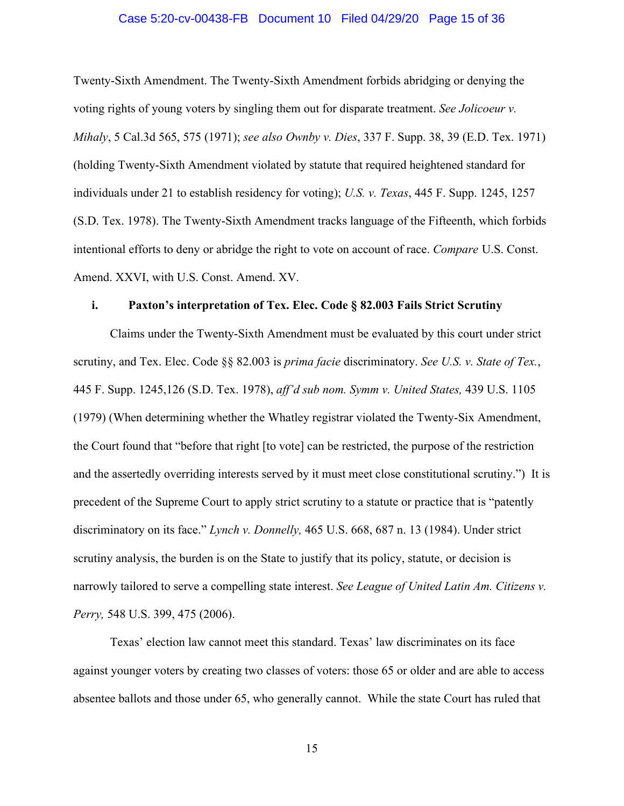## Case 5:20-cv-00438-FB Document 10 Filed 04/29/20 Page 15 of 36

Twenty-Sixth Amendment. The Twenty-Sixth Amendment forbids abridging or denying the voting rights of young voters by singling them out for disparate treatment. *See Jolicoeur v. Mihaly*, 5 Cal.3d 565, 575 (1971); *see also Ownby v. Dies*, 337 F. Supp. 38, 39 (E.D. Tex. 1971) (holding Twenty-Sixth Amendment violated by statute that required heightened standard for individuals under 21 to establish residency for voting); *U.S. v. Texas*, 445 F. Supp. 1245, 1257 (S.D. Tex. 1978). The Twenty-Sixth Amendment tracks language of the Fifteenth, which forbids intentional efforts to deny or abridge the right to vote on account of race. *Compare* U.S. Const. Amend. XXVI, with U.S. Const. Amend. XV.

#### **i. Paxton's interpretation of Tex. Elec. Code § 82.003 Fails Strict Scrutiny**

Claims under the Twenty-Sixth Amendment must be evaluated by this court under strict scrutiny, and Tex. Elec. Code §§ 82.003 is *prima facie* discriminatory. *See U.S. v. State of Tex.*, 445 F. Supp. 1245,126 (S.D. Tex. 1978), *aff'd sub nom. Symm v. United States,* 439 U.S. 1105 (1979) (When determining whether the Whatley registrar violated the Twenty-Six Amendment, the Court found that "before that right [to vote] can be restricted, the purpose of the restriction and the assertedly overriding interests served by it must meet close constitutional scrutiny.") It is precedent of the Supreme Court to apply strict scrutiny to a statute or practice that is "patently discriminatory on its face." *Lynch v. Donnelly,* 465 U.S. 668, 687 n. 13 (1984). Under strict scrutiny analysis, the burden is on the State to justify that its policy, statute, or decision is narrowly tailored to serve a compelling state interest. *See League of United Latin Am. Citizens v. Perry,* 548 U.S. 399, 475 (2006).

Texas' election law cannot meet this standard. Texas' law discriminates on its face against younger voters by creating two classes of voters: those 65 or older and are able to access absentee ballots and those under 65, who generally cannot. While the state Court has ruled that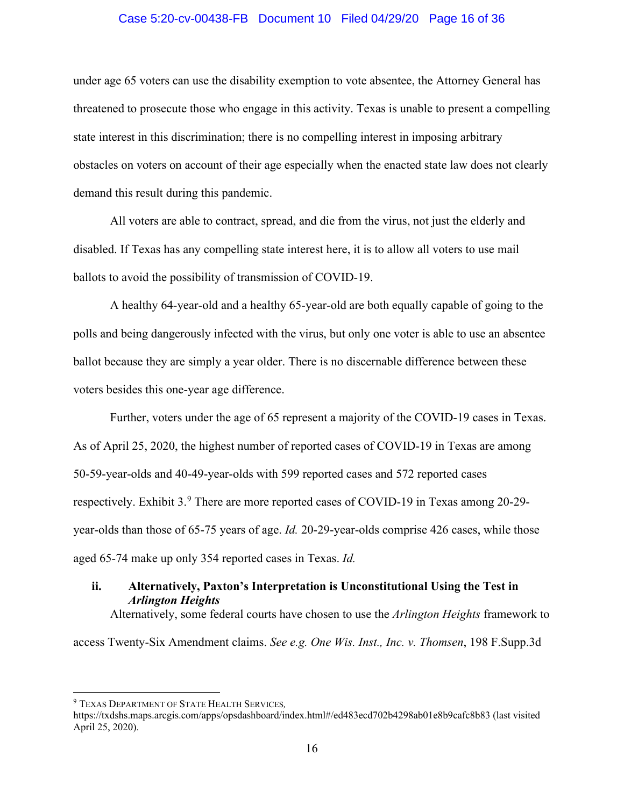## Case 5:20-cv-00438-FB Document 10 Filed 04/29/20 Page 16 of 36

under age 65 voters can use the disability exemption to vote absentee, the Attorney General has threatened to prosecute those who engage in this activity. Texas is unable to present a compelling state interest in this discrimination; there is no compelling interest in imposing arbitrary obstacles on voters on account of their age especially when the enacted state law does not clearly demand this result during this pandemic.

All voters are able to contract, spread, and die from the virus, not just the elderly and disabled. If Texas has any compelling state interest here, it is to allow all voters to use mail ballots to avoid the possibility of transmission of COVID-19.

A healthy 64-year-old and a healthy 65-year-old are both equally capable of going to the polls and being dangerously infected with the virus, but only one voter is able to use an absentee ballot because they are simply a year older. There is no discernable difference between these voters besides this one-year age difference.

Further, voters under the age of 65 represent a majority of the COVID-19 cases in Texas. As of April 25, 2020, the highest number of reported cases of COVID-19 in Texas are among 50-59-year-olds and 40-49-year-olds with 599 reported cases and 572 reported cases respectively. Exhibit 3.<sup>[9](#page-15-0)</sup> There are more reported cases of COVID-19 in Texas among 20-29year-olds than those of 65-75 years of age. *Id.* 20-29-year-olds comprise 426 cases, while those aged 65-74 make up only 354 reported cases in Texas. *Id.*

# **ii. Alternatively, Paxton's Interpretation is Unconstitutional Using the Test in** *Arlington Heights*

Alternatively, some federal courts have chosen to use the *Arlington Heights* framework to

access Twenty-Six Amendment claims. *See e.g. One Wis. Inst., Inc. v. Thomsen*, 198 F.Supp.3d

<span id="page-15-0"></span><sup>9</sup> TEXAS DEPARTMENT OF STATE HEALTH SERVICES*,*

<https://txdshs.maps.arcgis.com/apps/opsdashboard/index.html#/ed483ecd702b4298ab01e8b9cafc8b83> (last visited April 25, 2020).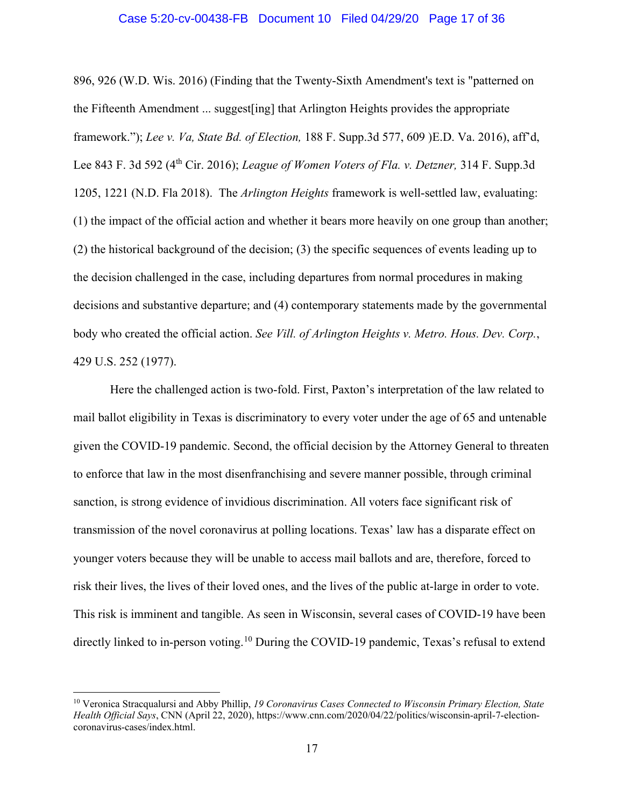### Case 5:20-cv-00438-FB Document 10 Filed 04/29/20 Page 17 of 36

896, 926 (W.D. Wis. 2016) (Finding that the Twenty-Sixth Amendment's text is "patterned on the Fifteenth Amendment ... suggest[ing] that Arlington Heights provides the appropriate framework."); *Lee v. Va, State Bd. of Election,* 188 F. Supp.3d 577, 609 )E.D. Va. 2016), aff'd, Lee 843 F. 3d 592 (4th Cir. 2016); *League of Women Voters of Fla. v. Detzner,* 314 F. Supp.3d 1205, 1221 (N.D. Fla 2018). The *Arlington Heights* framework is well-settled law, evaluating: (1) the impact of the official action and whether it bears more heavily on one group than another; (2) the historical background of the decision; (3) the specific sequences of events leading up to the decision challenged in the case, including departures from normal procedures in making decisions and substantive departure; and (4) contemporary statements made by the governmental body who created the official action. *See Vill. of Arlington Heights v. Metro. Hous. Dev. Corp.*, 429 U.S. 252 (1977).

Here the challenged action is two-fold. First, Paxton's interpretation of the law related to mail ballot eligibility in Texas is discriminatory to every voter under the age of 65 and untenable given the COVID-19 pandemic. Second, the official decision by the Attorney General to threaten to enforce that law in the most disenfranchising and severe manner possible, through criminal sanction, is strong evidence of invidious discrimination. All voters face significant risk of transmission of the novel coronavirus at polling locations. Texas' law has a disparate effect on younger voters because they will be unable to access mail ballots and are, therefore, forced to risk their lives, the lives of their loved ones, and the lives of the public at-large in order to vote. This risk is imminent and tangible. As seen in Wisconsin, several cases of COVID-19 have been directly linked to in-person voting.<sup>[10](#page-16-0)</sup> During the COVID-19 pandemic, Texas's refusal to extend

<span id="page-16-0"></span><sup>10</sup> Veronica Stracqualursi and Abby Phillip, *19 Coronavirus Cases Connected to Wisconsin Primary Election, State Health Official Says*, CNN (April 22, 2020), [https://www.cnn.com/2020/04/22/politics/wisconsin-april-7-election](https://www.cnn.com/2020/04/22/politics/wisconsin-april-7-election-coronavirus-cases/index.html)[coronavirus-cases/index.html.](https://www.cnn.com/2020/04/22/politics/wisconsin-april-7-election-coronavirus-cases/index.html)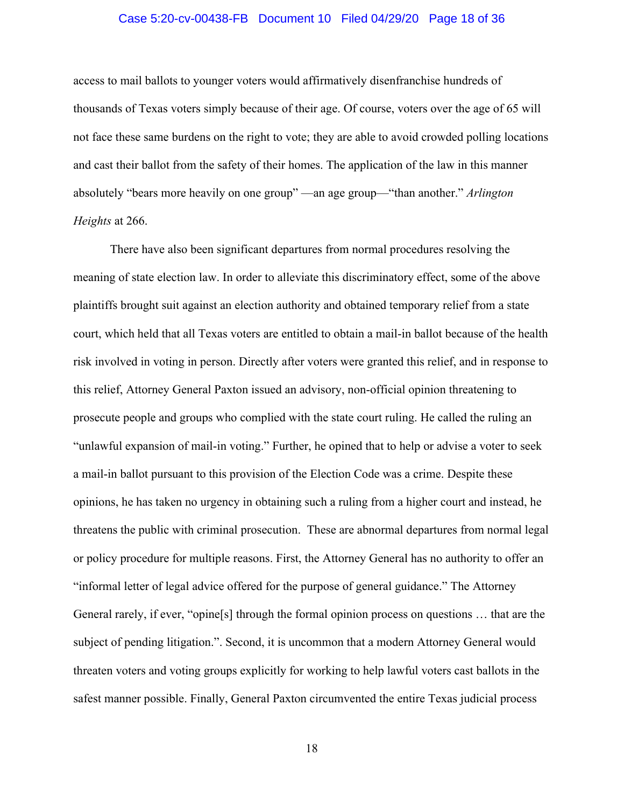## Case 5:20-cv-00438-FB Document 10 Filed 04/29/20 Page 18 of 36

access to mail ballots to younger voters would affirmatively disenfranchise hundreds of thousands of Texas voters simply because of their age. Of course, voters over the age of 65 will not face these same burdens on the right to vote; they are able to avoid crowded polling locations and cast their ballot from the safety of their homes. The application of the law in this manner absolutely "bears more heavily on one group" —an age group—"than another." *Arlington Heights* at 266.

There have also been significant departures from normal procedures resolving the meaning of state election law. In order to alleviate this discriminatory effect, some of the above plaintiffs brought suit against an election authority and obtained temporary relief from a state court, which held that all Texas voters are entitled to obtain a mail-in ballot because of the health risk involved in voting in person. Directly after voters were granted this relief, and in response to this relief, Attorney General Paxton issued an advisory, non-official opinion threatening to prosecute people and groups who complied with the state court ruling. He called the ruling an "unlawful expansion of mail-in voting." Further, he opined that to help or advise a voter to seek a mail-in ballot pursuant to this provision of the Election Code was a crime. Despite these opinions, he has taken no urgency in obtaining such a ruling from a higher court and instead, he threatens the public with criminal prosecution. These are abnormal departures from normal legal or policy procedure for multiple reasons. First, the Attorney General has no authority to offer an "informal letter of legal advice offered for the purpose of general guidance." The Attorney General rarely, if ever, "opine[s] through the formal opinion process on questions … that are the subject of pending litigation.". Second, it is uncommon that a modern Attorney General would threaten voters and voting groups explicitly for working to help lawful voters cast ballots in the safest manner possible. Finally, General Paxton circumvented the entire Texas judicial process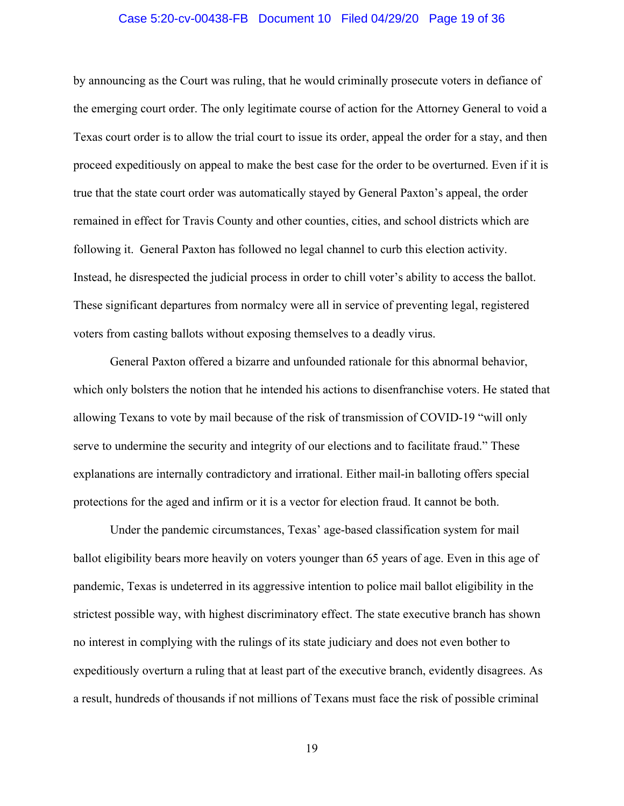#### Case 5:20-cv-00438-FB Document 10 Filed 04/29/20 Page 19 of 36

by announcing as the Court was ruling, that he would criminally prosecute voters in defiance of the emerging court order. The only legitimate course of action for the Attorney General to void a Texas court order is to allow the trial court to issue its order, appeal the order for a stay, and then proceed expeditiously on appeal to make the best case for the order to be overturned. Even if it is true that the state court order was automatically stayed by General Paxton's appeal, the order remained in effect for Travis County and other counties, cities, and school districts which are following it. General Paxton has followed no legal channel to curb this election activity. Instead, he disrespected the judicial process in order to chill voter's ability to access the ballot. These significant departures from normalcy were all in service of preventing legal, registered voters from casting ballots without exposing themselves to a deadly virus.

General Paxton offered a bizarre and unfounded rationale for this abnormal behavior, which only bolsters the notion that he intended his actions to disenfranchise voters. He stated that allowing Texans to vote by mail because of the risk of transmission of COVID-19 "will only serve to undermine the security and integrity of our elections and to facilitate fraud." These explanations are internally contradictory and irrational. Either mail-in balloting offers special protections for the aged and infirm or it is a vector for election fraud. It cannot be both.

Under the pandemic circumstances, Texas' age-based classification system for mail ballot eligibility bears more heavily on voters younger than 65 years of age. Even in this age of pandemic, Texas is undeterred in its aggressive intention to police mail ballot eligibility in the strictest possible way, with highest discriminatory effect. The state executive branch has shown no interest in complying with the rulings of its state judiciary and does not even bother to expeditiously overturn a ruling that at least part of the executive branch, evidently disagrees. As a result, hundreds of thousands if not millions of Texans must face the risk of possible criminal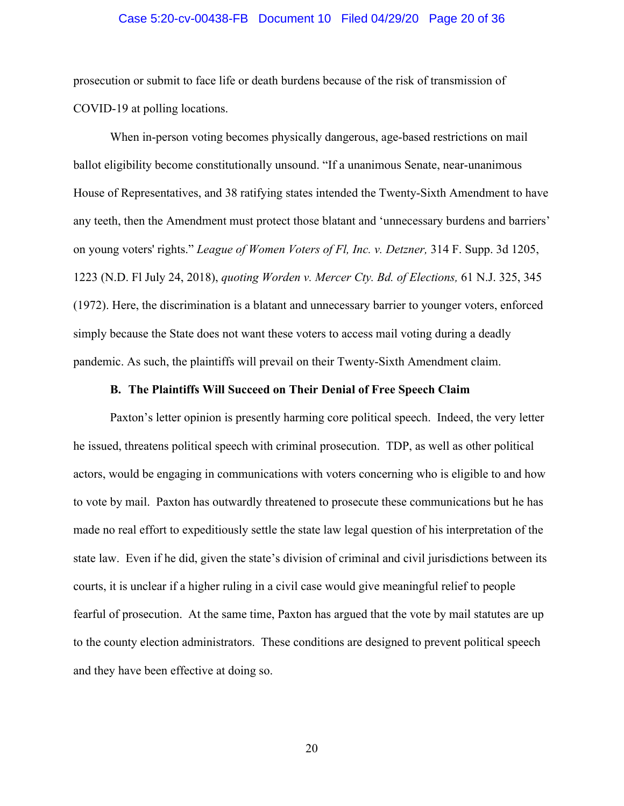#### Case 5:20-cv-00438-FB Document 10 Filed 04/29/20 Page 20 of 36

prosecution or submit to face life or death burdens because of the risk of transmission of COVID-19 at polling locations.

When in-person voting becomes physically dangerous, age-based restrictions on mail ballot eligibility become constitutionally unsound. "If a unanimous Senate, near-unanimous House of Representatives, and 38 ratifying states intended the Twenty-Sixth Amendment to have any teeth, then the Amendment must protect those blatant and 'unnecessary burdens and barriers' on young voters' rights." *League of Women Voters of Fl, Inc. v. Detzner,* 314 F. Supp. 3d 1205, 1223 (N.D. Fl July 24, 2018), *quoting Worden v. Mercer Cty. Bd. of Elections,* [61 N.J. 325,](https://www.leagle.com/cite/61%20N.J.%20325) 345 (1972). Here, the discrimination is a blatant and unnecessary barrier to younger voters, enforced simply because the State does not want these voters to access mail voting during a deadly pandemic. As such, the plaintiffs will prevail on their Twenty-Sixth Amendment claim.

## **B. The Plaintiffs Will Succeed on Their Denial of Free Speech Claim**

Paxton's letter opinion is presently harming core political speech. Indeed, the very letter he issued, threatens political speech with criminal prosecution. TDP, as well as other political actors, would be engaging in communications with voters concerning who is eligible to and how to vote by mail. Paxton has outwardly threatened to prosecute these communications but he has made no real effort to expeditiously settle the state law legal question of his interpretation of the state law. Even if he did, given the state's division of criminal and civil jurisdictions between its courts, it is unclear if a higher ruling in a civil case would give meaningful relief to people fearful of prosecution. At the same time, Paxton has argued that the vote by mail statutes are up to the county election administrators. These conditions are designed to prevent political speech and they have been effective at doing so.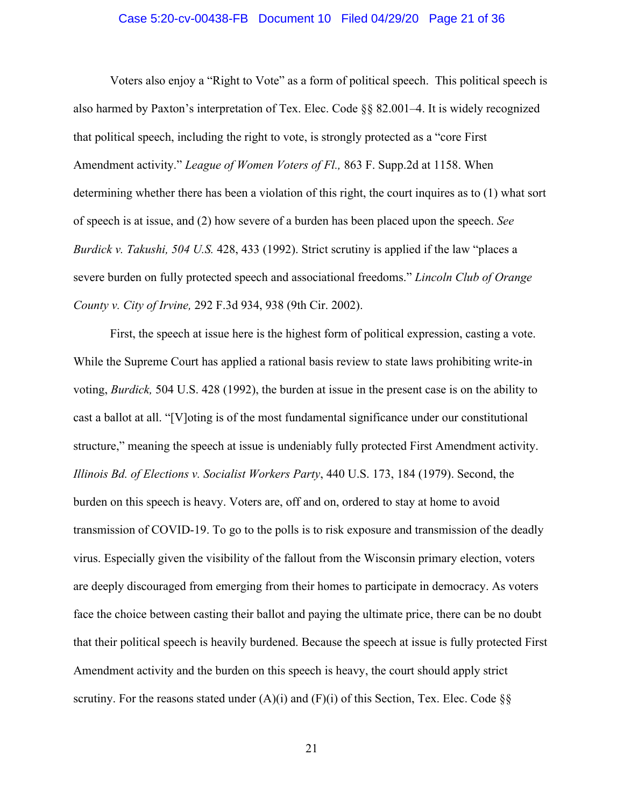#### Case 5:20-cv-00438-FB Document 10 Filed 04/29/20 Page 21 of 36

Voters also enjoy a "Right to Vote" as a form of political speech. This political speech is also harmed by Paxton's interpretation of Tex. Elec. Code §§ 82.001–4. It is widely recognized that political speech, including the right to vote, is strongly protected as a "core First Amendment activity." *League of Women Voters of Fl.,* 863 F. Supp.2d at 1158. When determining whether there has been a violation of this right, the court inquires as to (1) what sort of speech is at issue, and (2) how severe of a burden has been placed upon the speech. *See Burdick v. Takushi, 504 U.S.* 428, 433 (1992). Strict scrutiny is applied if the law "places a severe burden on fully protected speech and associational freedoms." *Lincoln Club of Orange County v. City of Irvine,* 292 F.3d 934, 938 (9th Cir. 2002).

First, the speech at issue here is the highest form of political expression, casting a vote. While the Supreme Court has applied a rational basis review to state laws prohibiting write-in voting, *Burdick,* 504 U.S. 428 (1992), the burden at issue in the present case is on the ability to cast a ballot at all. "[V]oting is of the most fundamental significance under our constitutional structure," meaning the speech at issue is undeniably fully protected First Amendment activity. *Illinois Bd. of Elections v. Socialist Workers Party*, 440 U.S. 173, 184 (1979). Second, the burden on this speech is heavy. Voters are, off and on, ordered to stay at home to avoid transmission of COVID-19. To go to the polls is to risk exposure and transmission of the deadly virus. Especially given the visibility of the fallout from the Wisconsin primary election, voters are deeply discouraged from emerging from their homes to participate in democracy. As voters face the choice between casting their ballot and paying the ultimate price, there can be no doubt that their political speech is heavily burdened. Because the speech at issue is fully protected First Amendment activity and the burden on this speech is heavy, the court should apply strict scrutiny. For the reasons stated under  $(A)(i)$  and  $(F)(i)$  of this Section, Tex. Elec. Code §§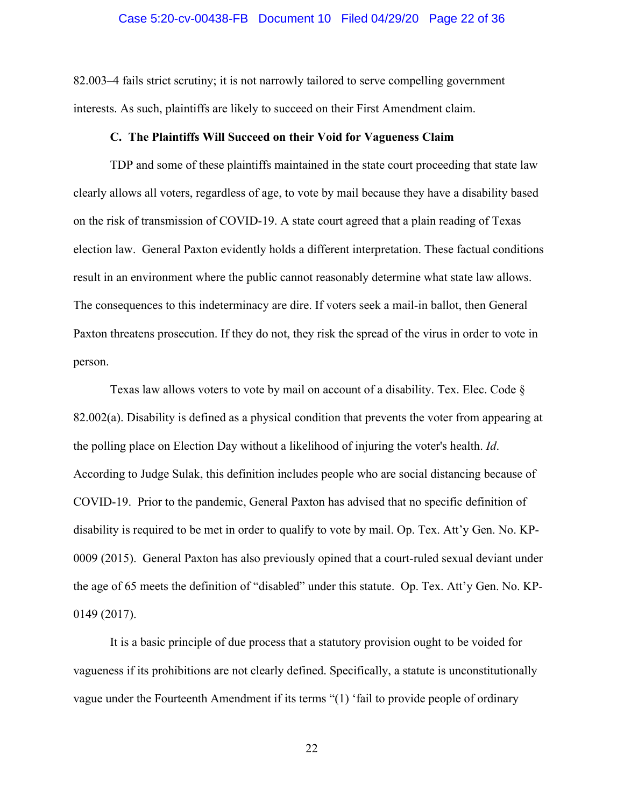#### Case 5:20-cv-00438-FB Document 10 Filed 04/29/20 Page 22 of 36

82.003–4 fails strict scrutiny; it is not narrowly tailored to serve compelling government interests. As such, plaintiffs are likely to succeed on their First Amendment claim.

#### **C. The Plaintiffs Will Succeed on their Void for Vagueness Claim**

TDP and some of these plaintiffs maintained in the state court proceeding that state law clearly allows all voters, regardless of age, to vote by mail because they have a disability based on the risk of transmission of COVID-19. A state court agreed that a plain reading of Texas election law. General Paxton evidently holds a different interpretation. These factual conditions result in an environment where the public cannot reasonably determine what state law allows. The consequences to this indeterminacy are dire. If voters seek a mail-in ballot, then General Paxton threatens prosecution. If they do not, they risk the spread of the virus in order to vote in person.

Texas law allows voters to vote by mail on account of a disability. Tex. Elec. Code §  $82.002(a)$ . Disability is defined as a physical condition that prevents the voter from appearing at the polling place on Election Day without a likelihood of injuring the voter's health. *Id*. According to Judge Sulak, this definition includes people who are social distancing because of COVID-19. Prior to the pandemic, General Paxton has advised that no specific definition of disability is required to be met in order to qualify to vote by mail. Op. Tex. Att'y Gen. No. KP-0009 (2015). General Paxton has also previously opined that a court-ruled sexual deviant under the age of 65 meets the definition of "disabled" under this statute. Op. Tex. Att'y Gen. No. KP-0149 (2017).

It is a basic principle of due process that a statutory provision ought to be voided for vagueness if its prohibitions are not clearly defined. Specifically, a statute is unconstitutionally vague under the Fourteenth Amendment if its terms "(1) 'fail to provide people of ordinary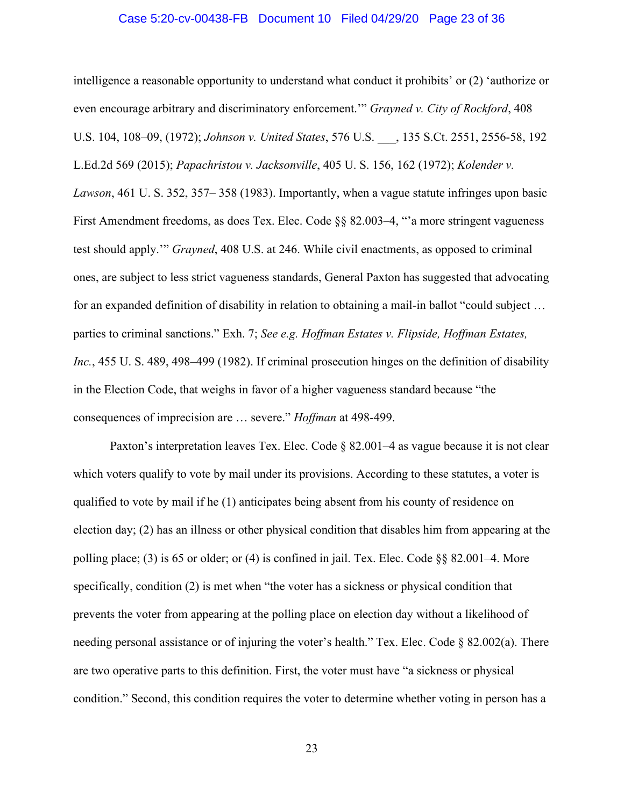#### Case 5:20-cv-00438-FB Document 10 Filed 04/29/20 Page 23 of 36

intelligence a reasonable opportunity to understand what conduct it prohibits' or (2) 'authorize or even encourage arbitrary and discriminatory enforcement.'" *Grayned v. City of Rockford*, 408 U.S. 104, 108–09, (1972); *Johnson v. United States*, 576 U.S. \_\_\_, 135 S.Ct. 2551, 2556-58, 192 L.Ed.2d 569 (2015); *Papachristou v. Jacksonville*, 405 U. S. 156, 162 (1972); *Kolender v. Lawson*, 461 U. S. 352, 357– 358 (1983). Importantly, when a vague statute infringes upon basic First Amendment freedoms, as does Tex. Elec. Code §§ 82.003–4, "'a more stringent vagueness test should apply.'" *Grayned*, 408 U.S. at 246. While civil enactments, as opposed to criminal ones, are subject to less strict vagueness standards, General Paxton has suggested that advocating for an expanded definition of disability in relation to obtaining a mail-in ballot "could subject … parties to criminal sanctions." Exh. 7; *See e.g. Hoffman Estates v. Flipside, Hoffman Estates, Inc.*, 455 U. S. 489, 498–499 (1982). If criminal prosecution hinges on the definition of disability in the Election Code, that weighs in favor of a higher vagueness standard because "the consequences of imprecision are … severe." *Hoffman* at 498-499.

Paxton's interpretation leaves Tex. Elec. Code § 82.001–4 as vague because it is not clear which voters qualify to vote by mail under its provisions. According to these statutes, a voter is qualified to vote by mail if he (1) anticipates being absent from his county of residence on election day; (2) has an illness or other physical condition that disables him from appearing at the polling place; (3) is 65 or older; or (4) is confined in jail. Tex. Elec. Code §§ 82.001–4. More specifically, condition (2) is met when "the voter has a sickness or physical condition that prevents the voter from appearing at the polling place on election day without a likelihood of needing personal assistance or of injuring the voter's health." Tex. Elec. Code  $\S 82.002(a)$ . There are two operative parts to this definition. First, the voter must have "a sickness or physical condition." Second, this condition requires the voter to determine whether voting in person has a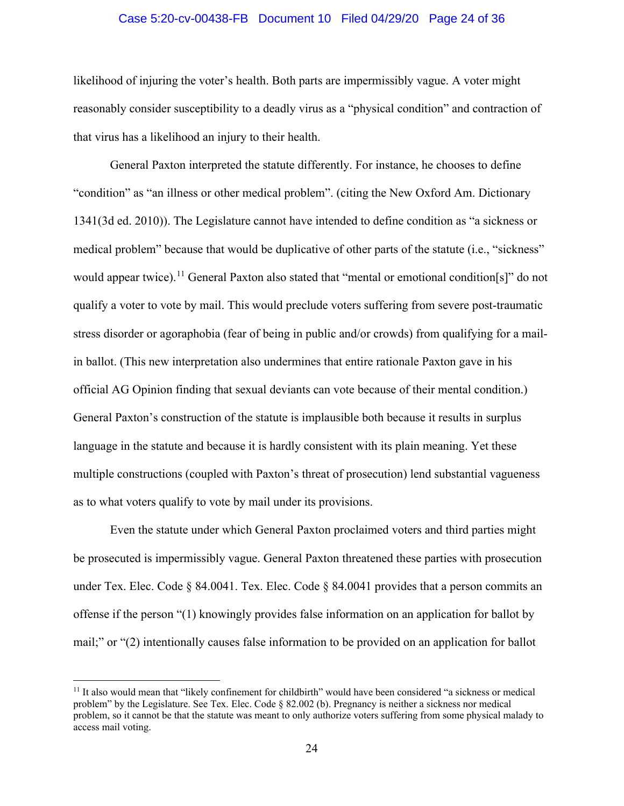## Case 5:20-cv-00438-FB Document 10 Filed 04/29/20 Page 24 of 36

likelihood of injuring the voter's health. Both parts are impermissibly vague. A voter might reasonably consider susceptibility to a deadly virus as a "physical condition" and contraction of that virus has a likelihood an injury to their health.

General Paxton interpreted the statute differently. For instance, he chooses to define "condition" as "an illness or other medical problem". (citing the New Oxford Am. Dictionary 1341(3d ed. 2010)). The Legislature cannot have intended to define condition as "a sickness or medical problem" because that would be duplicative of other parts of the statute (i.e., "sickness" would appear twice).<sup>[11](#page-23-0)</sup> General Paxton also stated that "mental or emotional condition[s]" do not qualify a voter to vote by mail. This would preclude voters suffering from severe post-traumatic stress disorder or agoraphobia (fear of being in public and/or crowds) from qualifying for a mailin ballot. (This new interpretation also undermines that entire rationale Paxton gave in his official AG Opinion finding that sexual deviants can vote because of their mental condition.) General Paxton's construction of the statute is implausible both because it results in surplus language in the statute and because it is hardly consistent with its plain meaning. Yet these multiple constructions (coupled with Paxton's threat of prosecution) lend substantial vagueness as to what voters qualify to vote by mail under its provisions.

Even the statute under which General Paxton proclaimed voters and third parties might be prosecuted is impermissibly vague. General Paxton threatened these parties with prosecution under Tex. Elec. Code  $\S$  84.0041. Tex. Elec. Code  $\S$  84.0041 provides that a person commits an offense if the person "(1) knowingly provides false information on an application for ballot by mail;" or "(2) intentionally causes false information to be provided on an application for ballot

<span id="page-23-0"></span><sup>&</sup>lt;sup>11</sup> It also would mean that "likely confinement for childbirth" would have been considered "a sickness or medical problem" by the Legislature. See Tex. Elec. Code § 82.002 (b). Pregnancy is neither a sickness nor medical problem, so it cannot be that the statute was meant to only authorize voters suffering from some physical malady to access mail voting.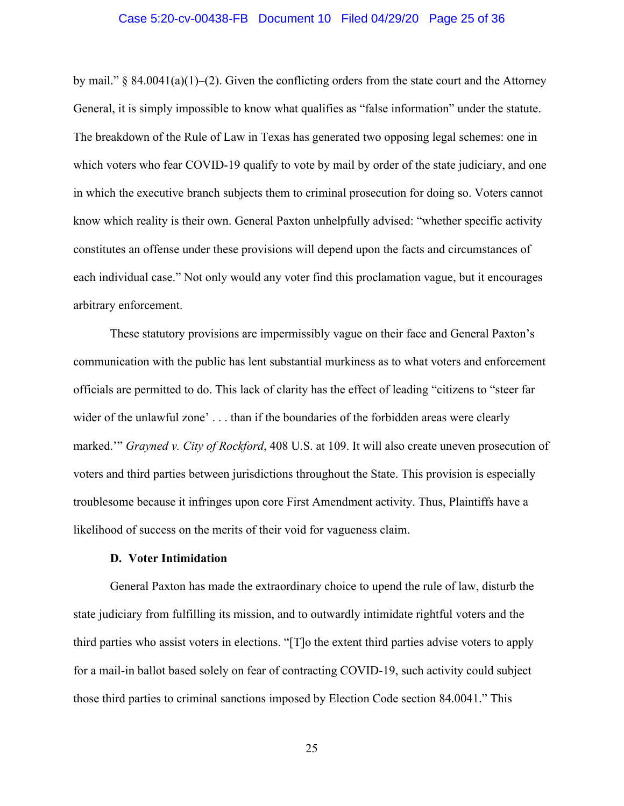### Case 5:20-cv-00438-FB Document 10 Filed 04/29/20 Page 25 of 36

by mail." § 84.0041(a)(1)–(2). Given the conflicting orders from the state court and the Attorney General, it is simply impossible to know what qualifies as "false information" under the statute. The breakdown of the Rule of Law in Texas has generated two opposing legal schemes: one in which voters who fear COVID-19 qualify to vote by mail by order of the state judiciary, and one in which the executive branch subjects them to criminal prosecution for doing so. Voters cannot know which reality is their own. General Paxton unhelpfully advised: "whether specific activity constitutes an offense under these provisions will depend upon the facts and circumstances of each individual case." Not only would any voter find this proclamation vague, but it encourages arbitrary enforcement.

These statutory provisions are impermissibly vague on their face and General Paxton's communication with the public has lent substantial murkiness as to what voters and enforcement officials are permitted to do. This lack of clarity has the effect of leading "citizens to "steer far wider of the unlawful zone' . . . than if the boundaries of the forbidden areas were clearly marked.'" *Grayned v. City of Rockford*, 408 U.S. at 109. It will also create uneven prosecution of voters and third parties between jurisdictions throughout the State. This provision is especially troublesome because it infringes upon core First Amendment activity. Thus, Plaintiffs have a likelihood of success on the merits of their void for vagueness claim.

## **D. Voter Intimidation**

General Paxton has made the extraordinary choice to upend the rule of law, disturb the state judiciary from fulfilling its mission, and to outwardly intimidate rightful voters and the third parties who assist voters in elections. "[T]o the extent third parties advise voters to apply for a mail-in ballot based solely on fear of contracting COVID-19, such activity could subject those third parties to criminal sanctions imposed by Election Code section 84.0041." This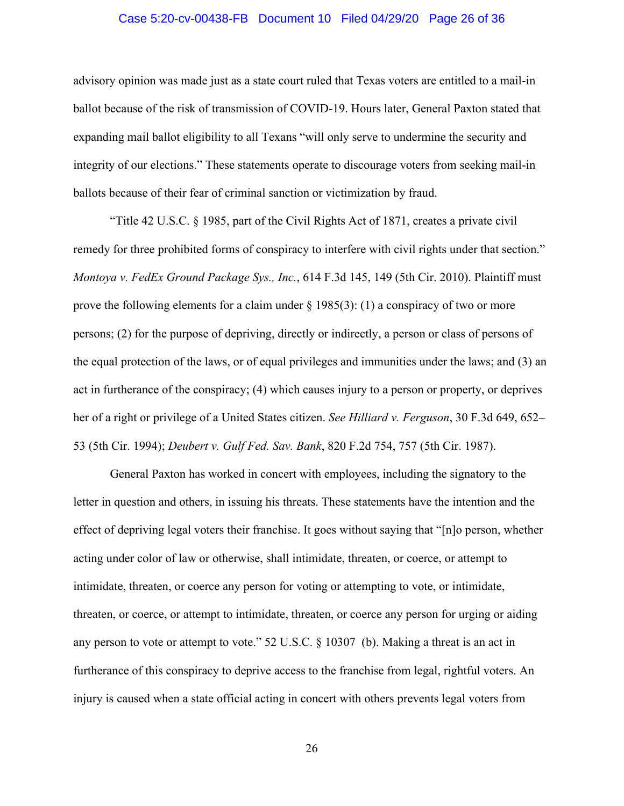#### Case 5:20-cv-00438-FB Document 10 Filed 04/29/20 Page 26 of 36

advisory opinion was made just as a state court ruled that Texas voters are entitled to a mail-in ballot because of the risk of transmission of COVID-19. Hours later, General Paxton stated that expanding mail ballot eligibility to all Texans "will only serve to undermine the security and integrity of our elections." These statements operate to discourage voters from seeking mail-in ballots because of their fear of criminal sanction or victimization by fraud.

"Title 42 U.S.C. § 1985, part of the Civil Rights Act of 1871, creates a private civil remedy for three prohibited forms of conspiracy to interfere with civil rights under that section." *Montoya v. FedEx Ground Package Sys., Inc.*, 614 F.3d 145, 149 (5th Cir. 2010). Plaintiff must prove the following elements for a claim under  $\S 1985(3)$ : (1) a conspiracy of two or more persons; (2) for the purpose of depriving, directly or indirectly, a person or class of persons of the equal protection of the laws, or of equal privileges and immunities under the laws; and (3) an act in furtherance of the conspiracy; (4) which causes injury to a person or property, or deprives her of a right or privilege of a United States citizen. *See Hilliard v. Ferguson*, 30 F.3d 649, 652– 53 (5th Cir. 1994); *Deubert v. Gulf Fed. Sav. Bank*, 820 F.2d 754, 757 (5th Cir. 1987).

General Paxton has worked in concert with employees, including the signatory to the letter in question and others, in issuing his threats. These statements have the intention and the effect of depriving legal voters their franchise. It goes without saying that "[n]o person, whether acting under color of law or otherwise, shall intimidate, threaten, or coerce, or attempt to intimidate, threaten, or coerce any person for voting or attempting to vote, or intimidate, threaten, or coerce, or attempt to intimidate, threaten, or coerce any person for urging or aiding any person to vote or attempt to vote." 52 U.S.C. § 10307 (b). Making a threat is an act in furtherance of this conspiracy to deprive access to the franchise from legal, rightful voters. An injury is caused when a state official acting in concert with others prevents legal voters from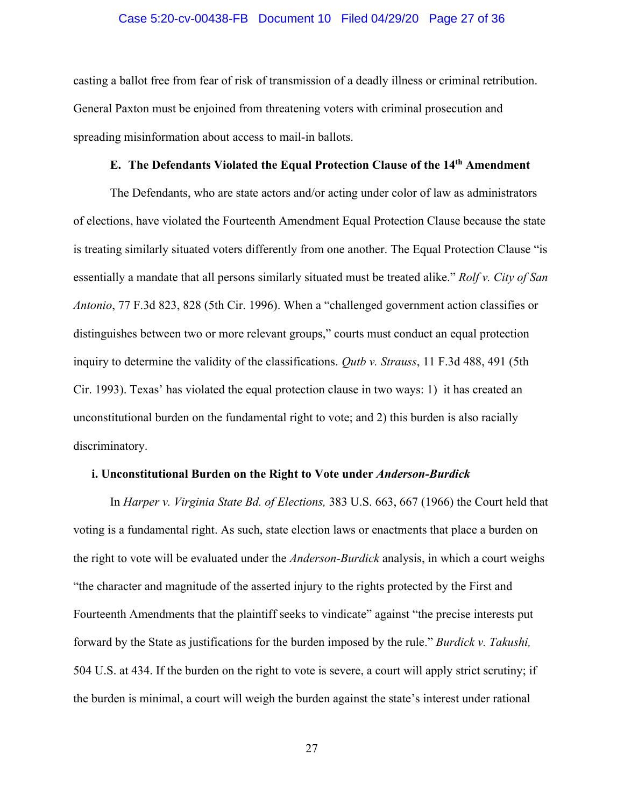#### Case 5:20-cv-00438-FB Document 10 Filed 04/29/20 Page 27 of 36

casting a ballot free from fear of risk of transmission of a deadly illness or criminal retribution. General Paxton must be enjoined from threatening voters with criminal prosecution and spreading misinformation about access to mail-in ballots.

# **E. The Defendants Violated the Equal Protection Clause of the 14th Amendment**

The Defendants, who are state actors and/or acting under color of law as administrators of elections, have violated the Fourteenth Amendment Equal Protection Clause because the state is treating similarly situated voters differently from one another. The Equal Protection Clause "is essentially a mandate that all persons similarly situated must be treated alike." *Rolf v. City of San Antonio*, 77 F.3d 823, 828 (5th Cir. 1996). When a "challenged government action classifies or distinguishes between two or more relevant groups," courts must conduct an equal protection inquiry to determine the validity of the classifications. *Qutb v. Strauss*, 11 F.3d 488, 491 (5th Cir. 1993). Texas' has violated the equal protection clause in two ways: 1) it has created an unconstitutional burden on the fundamental right to vote; and 2) this burden is also racially discriminatory.

#### **i. Unconstitutional Burden on the Right to Vote under** *Anderson-Burdick*

In *Harper v. Virginia State Bd. of Elections,* 383 U.S. 663, 667 (1966) the Court held that voting is a fundamental right. As such, state election laws or enactments that place a burden on the right to vote will be evaluated under the *Anderson-Burdick* analysis, in which a court weighs "the character and magnitude of the asserted injury to the rights protected by the First and Fourteenth Amendments that the plaintiff seeks to vindicate" against "the precise interests put forward by the State as justifications for the burden imposed by the rule." *Burdick v. Takushi,*  504 U.S. at 434. If the burden on the right to vote is severe, a court will apply strict scrutiny; if the burden is minimal, a court will weigh the burden against the state's interest under rational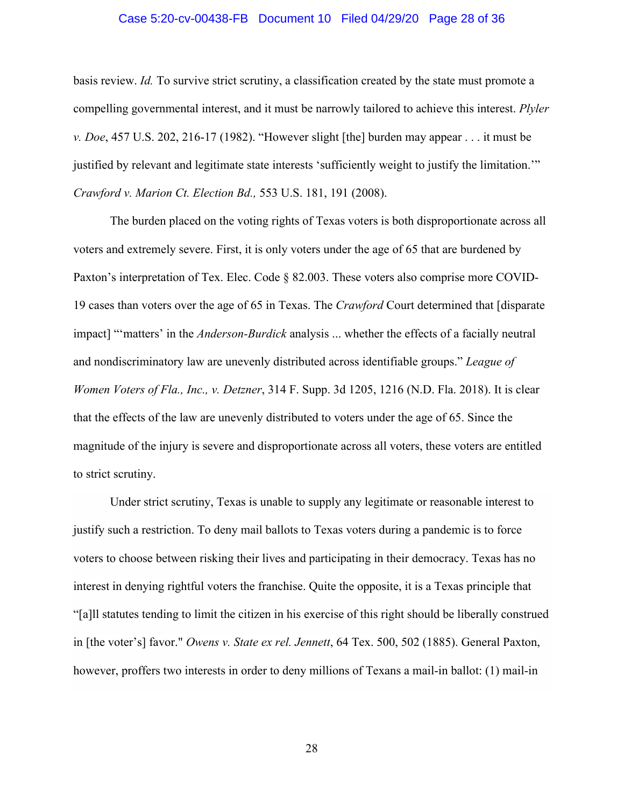### Case 5:20-cv-00438-FB Document 10 Filed 04/29/20 Page 28 of 36

basis review. *Id.* To survive strict scrutiny, a classification created by the state must promote a compelling governmental interest, and it must be narrowly tailored to achieve this interest. *Plyler v. Doe*, 457 U.S. 202, 216-17 (1982). "However slight [the] burden may appear . . . it must be justified by relevant and legitimate state interests 'sufficiently weight to justify the limitation.'" *Crawford v. Marion Ct. Election Bd.,* 553 U.S. 181, 191 (2008).

The burden placed on the voting rights of Texas voters is both disproportionate across all voters and extremely severe. First, it is only voters under the age of 65 that are burdened by Paxton's interpretation of Tex. Elec. Code § 82.003. These voters also comprise more COVID-19 cases than voters over the age of 65 in Texas. The *Crawford* Court determined that [disparate impact] "'matters' in the *Anderson-Burdick* analysis ... whether the effects of a facially neutral and nondiscriminatory law are unevenly distributed across identifiable groups." *League of Women Voters of Fla., Inc., v. Detzner*, 314 F. Supp. 3d 1205, 1216 (N.D. Fla. 2018). It is clear that the effects of the law are unevenly distributed to voters under the age of 65. Since the magnitude of the injury is severe and disproportionate across all voters, these voters are entitled to strict scrutiny.

Under strict scrutiny, Texas is unable to supply any legitimate or reasonable interest to justify such a restriction. To deny mail ballots to Texas voters during a pandemic is to force voters to choose between risking their lives and participating in their democracy. Texas has no interest in denying rightful voters the franchise. Quite the opposite, it is a Texas principle that "[a]ll statutes tending to limit the citizen in his exercise of this right should be liberally construed in [the voter's] favor." *Owens v. State ex rel. Jennett*, 64 Tex. 500, 502 (1885). General Paxton, however, proffers two interests in order to deny millions of Texans a mail-in ballot: (1) mail-in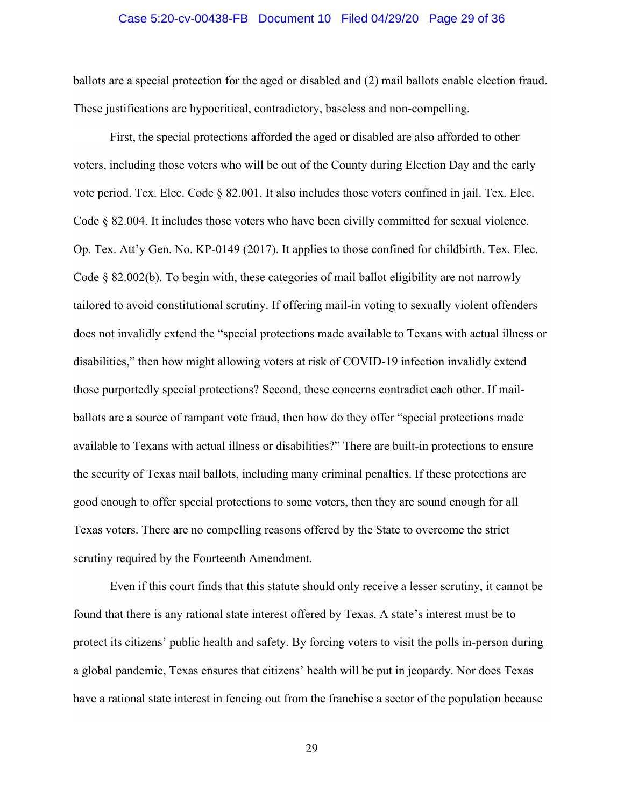#### Case 5:20-cv-00438-FB Document 10 Filed 04/29/20 Page 29 of 36

ballots are a special protection for the aged or disabled and (2) mail ballots enable election fraud. These justifications are hypocritical, contradictory, baseless and non-compelling.

First, the special protections afforded the aged or disabled are also afforded to other voters, including those voters who will be out of the County during Election Day and the early vote period. Tex. Elec. Code § 82.001. It also includes those voters confined in jail. Tex. Elec. Code § 82.004. It includes those voters who have been civilly committed for sexual violence. Op. Tex. Att'y Gen. No. KP-0149 (2017). It applies to those confined for childbirth. Tex. Elec. Code  $\S$  82.002(b). To begin with, these categories of mail ballot eligibility are not narrowly tailored to avoid constitutional scrutiny. If offering mail-in voting to sexually violent offenders does not invalidly extend the "special protections made available to Texans with actual illness or disabilities," then how might allowing voters at risk of COVID-19 infection invalidly extend those purportedly special protections? Second, these concerns contradict each other. If mailballots are a source of rampant vote fraud, then how do they offer "special protections made available to Texans with actual illness or disabilities?" There are built-in protections to ensure the security of Texas mail ballots, including many criminal penalties. If these protections are good enough to offer special protections to some voters, then they are sound enough for all Texas voters. There are no compelling reasons offered by the State to overcome the strict scrutiny required by the Fourteenth Amendment.

Even if this court finds that this statute should only receive a lesser scrutiny, it cannot be found that there is any rational state interest offered by Texas. A state's interest must be to protect its citizens' public health and safety. By forcing voters to visit the polls in-person during a global pandemic, Texas ensures that citizens' health will be put in jeopardy. Nor does Texas have a rational state interest in fencing out from the franchise a sector of the population because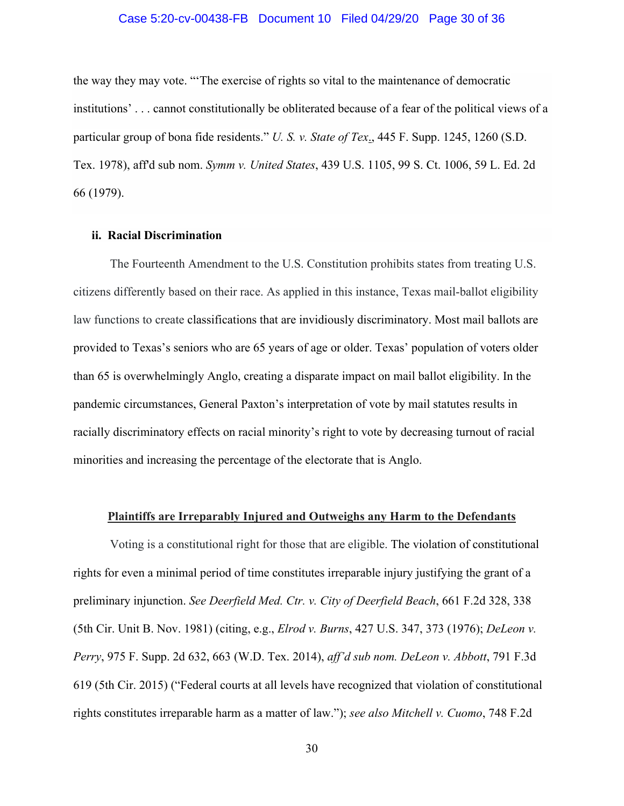## Case 5:20-cv-00438-FB Document 10 Filed 04/29/20 Page 30 of 36

the way they may vote. "'The exercise of rights so vital to the maintenance of democratic institutions' . . . cannot constitutionally be obliterated because of a fear of the political views of a particular group of bona fide residents." *U. S. v. State of Tex*., 445 F. Supp. 1245, 1260 (S.D. Tex. 1978), aff'd sub nom. *Symm v. United States*, 439 U.S. 1105, 99 S. Ct. 1006, 59 L. Ed. 2d 66 (1979).

#### **ii. Racial Discrimination**

The Fourteenth Amendment to the U.S. Constitution prohibits states from treating U.S. citizens differently based on their race. As applied in this instance, Texas mail-ballot eligibility law functions to create classifications that are invidiously discriminatory. Most mail ballots are provided to Texas's seniors who are 65 years of age or older. Texas' population of voters older than 65 is overwhelmingly Anglo, creating a disparate impact on mail ballot eligibility. In the pandemic circumstances, General Paxton's interpretation of vote by mail statutes results in racially discriminatory effects on racial minority's right to vote by decreasing turnout of racial minorities and increasing the percentage of the electorate that is Anglo.

## **Plaintiffs are Irreparably Injured and Outweighs any Harm to the Defendants**

Voting is a constitutional right for those that are eligible. The violation of constitutional rights for even a minimal period of time constitutes irreparable injury justifying the grant of a preliminary injunction. *See Deerfield Med. Ctr. v. City of Deerfield Beach*, 661 F.2d 328, 338 (5th Cir. Unit B. Nov. 1981) (citing, e.g., *Elrod v. Burns*, 427 U.S. 347, 373 (1976); *DeLeon v. Perry*, 975 F. Supp. 2d 632, 663 (W.D. Tex. 2014), *aff'd sub nom. DeLeon v. Abbott*, 791 F.3d 619 (5th Cir. 2015) ("Federal courts at all levels have recognized that violation of constitutional rights constitutes irreparable harm as a matter of law."); *see also Mitchell v. Cuomo*, 748 F.2d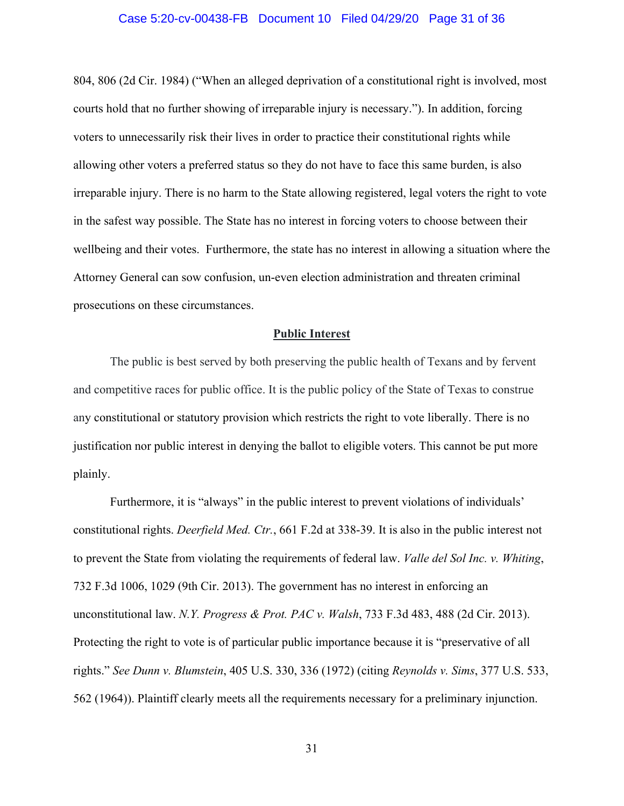#### Case 5:20-cv-00438-FB Document 10 Filed 04/29/20 Page 31 of 36

804, 806 (2d Cir. 1984) ("When an alleged deprivation of a constitutional right is involved, most courts hold that no further showing of irreparable injury is necessary."). In addition, forcing voters to unnecessarily risk their lives in order to practice their constitutional rights while allowing other voters a preferred status so they do not have to face this same burden, is also irreparable injury. There is no harm to the State allowing registered, legal voters the right to vote in the safest way possible. The State has no interest in forcing voters to choose between their wellbeing and their votes. Furthermore, the state has no interest in allowing a situation where the Attorney General can sow confusion, un-even election administration and threaten criminal prosecutions on these circumstances.

#### **Public Interest**

The public is best served by both preserving the public health of Texans and by fervent and competitive races for public office. It is the public policy of the State of Texas to construe any constitutional or statutory provision which restricts the right to vote liberally. There is no justification nor public interest in denying the ballot to eligible voters. This cannot be put more plainly.

Furthermore, it is "always" in the public interest to prevent violations of individuals' constitutional rights. *Deerfield Med. Ctr.*, 661 F.2d at 338-39. It is also in the public interest not to prevent the State from violating the requirements of federal law. *Valle del Sol Inc. v. Whiting*, 732 F.3d 1006, 1029 (9th Cir. 2013). The government has no interest in enforcing an unconstitutional law. *N.Y. Progress & Prot. PAC v. Walsh*, 733 F.3d 483, 488 (2d Cir. 2013). Protecting the right to vote is of particular public importance because it is "preservative of all rights." *See Dunn v. Blumstein*, 405 U.S. 330, 336 (1972) (citing *Reynolds v. Sims*, 377 U.S. 533, 562 (1964)). Plaintiff clearly meets all the requirements necessary for a preliminary injunction.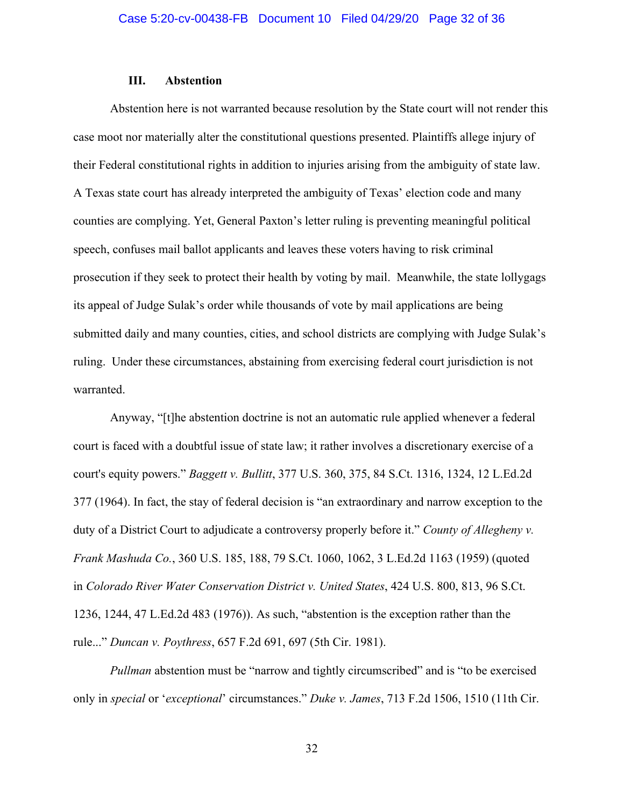#### **III. Abstention**

Abstention here is not warranted because resolution by the State court will not render this case moot nor materially alter the constitutional questions presented. Plaintiffs allege injury of their Federal constitutional rights in addition to injuries arising from the ambiguity of state law. A Texas state court has already interpreted the ambiguity of Texas' election code and many counties are complying. Yet, General Paxton's letter ruling is preventing meaningful political speech, confuses mail ballot applicants and leaves these voters having to risk criminal prosecution if they seek to protect their health by voting by mail. Meanwhile, the state lollygags its appeal of Judge Sulak's order while thousands of vote by mail applications are being submitted daily and many counties, cities, and school districts are complying with Judge Sulak's ruling. Under these circumstances, abstaining from exercising federal court jurisdiction is not warranted.

Anyway, "[t]he abstention doctrine is not an automatic rule applied whenever a federal court is faced with a doubtful issue of state law; it rather involves a discretionary exercise of a court's equity powers." *Baggett v. Bullitt*, 377 U.S. 360, 375, 84 S.Ct. 1316, 1324, 12 L.Ed.2d 377 (1964). In fact, the stay of federal decision is "an extraordinary and narrow exception to the duty of a District Court to adjudicate a controversy properly before it." *County of Allegheny v. Frank Mashuda Co.*, 360 U.S. 185, 188, 79 S.Ct. 1060, 1062, 3 L.Ed.2d 1163 (1959) (quoted in *Colorado River Water Conservation District v. United States*, 424 U.S. 800, 813, 96 S.Ct. 1236, 1244, 47 L.Ed.2d 483 (1976)). As such, "abstention is the exception rather than the rule..." *Duncan v. Poythress*, 657 F.2d 691, 697 (5th Cir. 1981).

*Pullman* abstention must be "narrow and tightly circumscribed" and is "to be exercised only in *special* or '*exceptional*' circumstances." *Duke v. James*, 713 F.2d 1506, 1510 (11th Cir.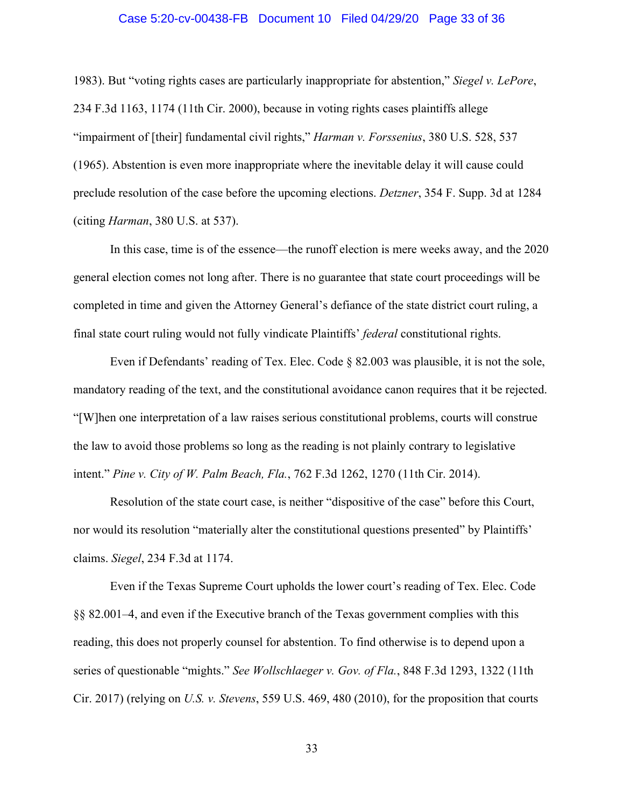#### Case 5:20-cv-00438-FB Document 10 Filed 04/29/20 Page 33 of 36

1983). But "voting rights cases are particularly inappropriate for abstention," *Siegel v. LePore*, 234 F.3d 1163, 1174 (11th Cir. 2000), because in voting rights cases plaintiffs allege "impairment of [their] fundamental civil rights," *Harman v. Forssenius*, 380 U.S. 528, 537 (1965). Abstention is even more inappropriate where the inevitable delay it will cause could preclude resolution of the case before the upcoming elections. *Detzner*, 354 F. Supp. 3d at 1284 (citing *Harman*, 380 U.S. at 537).

In this case, time is of the essence—the runoff election is mere weeks away, and the 2020 general election comes not long after. There is no guarantee that state court proceedings will be completed in time and given the Attorney General's defiance of the state district court ruling, a final state court ruling would not fully vindicate Plaintiffs' *federal* constitutional rights.

Even if Defendants' reading of Tex. Elec. Code § 82.003 was plausible, it is not the sole, mandatory reading of the text, and the constitutional avoidance canon requires that it be rejected. "[W]hen one interpretation of a law raises serious constitutional problems, courts will construe the law to avoid those problems so long as the reading is not plainly contrary to legislative intent." *Pine v. City of W. Palm Beach, Fla.*, 762 F.3d 1262, 1270 (11th Cir. 2014).

Resolution of the state court case, is neither "dispositive of the case" before this Court, nor would its resolution "materially alter the constitutional questions presented" by Plaintiffs' claims. *Siegel*, 234 F.3d at 1174.

Even if the Texas Supreme Court upholds the lower court's reading of Tex. Elec. Code §§ 82.001–4, and even if the Executive branch of the Texas government complies with this reading, this does not properly counsel for abstention. To find otherwise is to depend upon a series of questionable "mights." *See Wollschlaeger v. Gov. of Fla.*, 848 F.3d 1293, 1322 (11th Cir. 2017) (relying on *U.S. v. Stevens*, 559 U.S. 469, 480 (2010), for the proposition that courts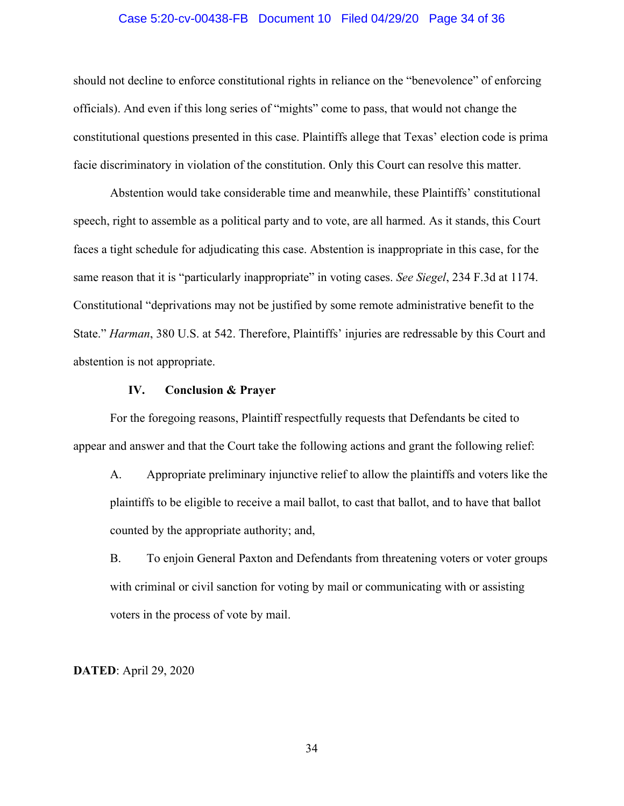#### Case 5:20-cv-00438-FB Document 10 Filed 04/29/20 Page 34 of 36

should not decline to enforce constitutional rights in reliance on the "benevolence" of enforcing officials). And even if this long series of "mights" come to pass, that would not change the constitutional questions presented in this case. Plaintiffs allege that Texas' election code is prima facie discriminatory in violation of the constitution. Only this Court can resolve this matter.

Abstention would take considerable time and meanwhile, these Plaintiffs' constitutional speech, right to assemble as a political party and to vote, are all harmed. As it stands, this Court faces a tight schedule for adjudicating this case. Abstention is inappropriate in this case, for the same reason that it is "particularly inappropriate" in voting cases. *See Siegel*, 234 F.3d at 1174. Constitutional "deprivations may not be justified by some remote administrative benefit to the State." *Harman*, 380 U.S. at 542. Therefore, Plaintiffs' injuries are redressable by this Court and abstention is not appropriate.

#### **IV. Conclusion & Prayer**

For the foregoing reasons, Plaintiff respectfully requests that Defendants be cited to appear and answer and that the Court take the following actions and grant the following relief:

A. Appropriate preliminary injunctive relief to allow the plaintiffs and voters like the plaintiffs to be eligible to receive a mail ballot, to cast that ballot, and to have that ballot counted by the appropriate authority; and,

B. To enjoin General Paxton and Defendants from threatening voters or voter groups with criminal or civil sanction for voting by mail or communicating with or assisting voters in the process of vote by mail.

**DATED**: April 29, 2020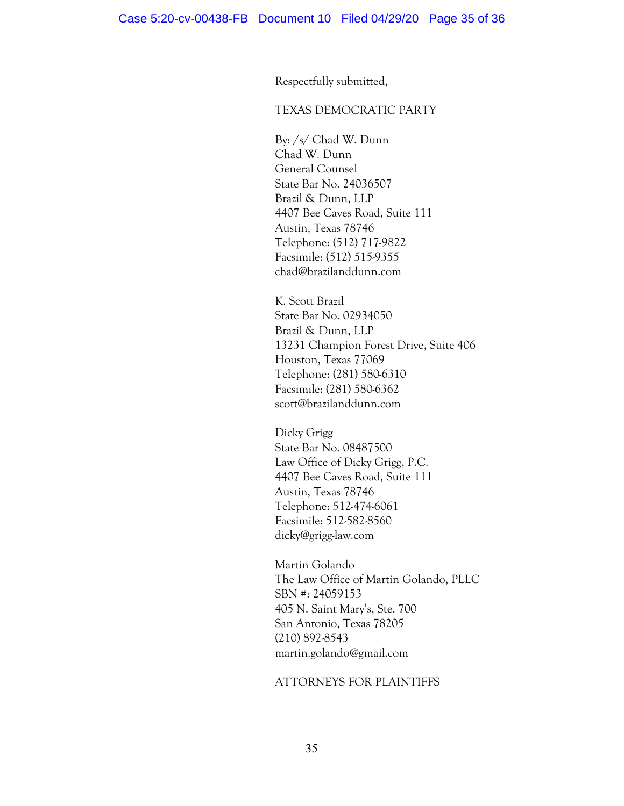Respectfully submitted,

#### TEXAS DEMOCRATIC PARTY

By: /s/ Chad W. Dunn Chad W. Dunn General Counsel State Bar No. 24036507 Brazil & Dunn, LLP 4407 Bee Caves Road, Suite 111 Austin, Texas 78746 Telephone: (512) 717-9822 Facsimile: (512) 515-9355 chad@brazilanddunn.com

K. Scott Brazil State Bar No. 02934050 Brazil & Dunn, LLP 13231 Champion Forest Drive, Suite 406 Houston, Texas 77069 Telephone: (281) 580-6310 Facsimile: (281) 580-6362 scott@brazilanddunn.com

Dicky Grigg State Bar No. 08487500 Law Office of Dicky Grigg, P.C. 4407 Bee Caves Road, Suite 111 Austin, Texas 78746 Telephone: 512-474-6061 Facsimile: 512-582-8560 dicky@grigg-law.com

Martin Golando The Law Office of Martin Golando, PLLC SBN #: 24059153 405 N. Saint Mary's, Ste. 700 San Antonio, Texas 78205 (210) 892-8543 martin.golando@gmail.com

# ATTORNEYS FOR PLAINTIFFS